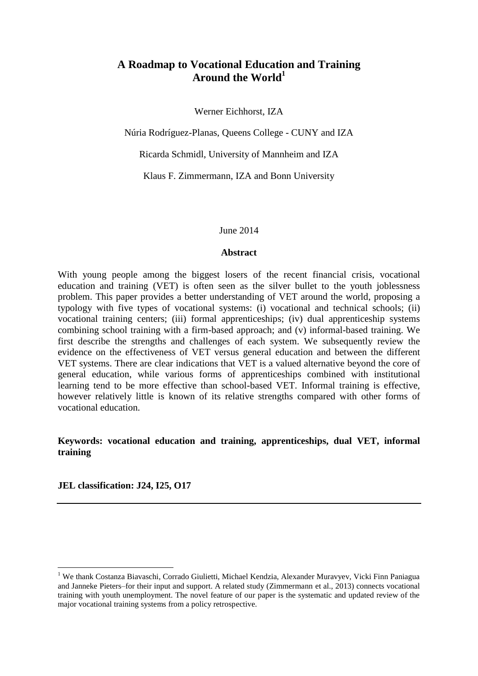## **A Roadmap to Vocational Education and Training Around the World<sup>1</sup>**

Werner Eichhorst, IZA

Núria Rodríguez-Planas, Queens College - CUNY and IZA

Ricarda Schmidl, University of Mannheim and IZA

Klaus F. Zimmermann, IZA and Bonn University

June 2014

#### **Abstract**

With young people among the biggest losers of the recent financial crisis, vocational education and training (VET) is often seen as the silver bullet to the youth joblessness problem. This paper provides a better understanding of VET around the world, proposing a typology with five types of vocational systems: (i) vocational and technical schools; (ii) vocational training centers; (iii) formal apprenticeships; (iv) dual apprenticeship systems combining school training with a firm-based approach; and (v) informal-based training. We first describe the strengths and challenges of each system. We subsequently review the evidence on the effectiveness of VET versus general education and between the different VET systems. There are clear indications that VET is a valued alternative beyond the core of general education, while various forms of apprenticeships combined with institutional learning tend to be more effective than school-based VET. Informal training is effective, however relatively little is known of its relative strengths compared with other forms of vocational education.

## **Keywords: vocational education and training, apprenticeships, dual VET, informal training**

**JEL classification: J24, I25, O17**

<u>.</u>

<sup>&</sup>lt;sup>1</sup> We thank Costanza Biavaschi, Corrado Giulietti, Michael Kendzia, Alexander Muravyev, Vicki Finn Paniagua and Janneke Pieters–for their input and support. A related study (Zimmermann et al., 2013) connects vocational training with youth unemployment. The novel feature of our paper is the systematic and updated review of the major vocational training systems from a policy retrospective.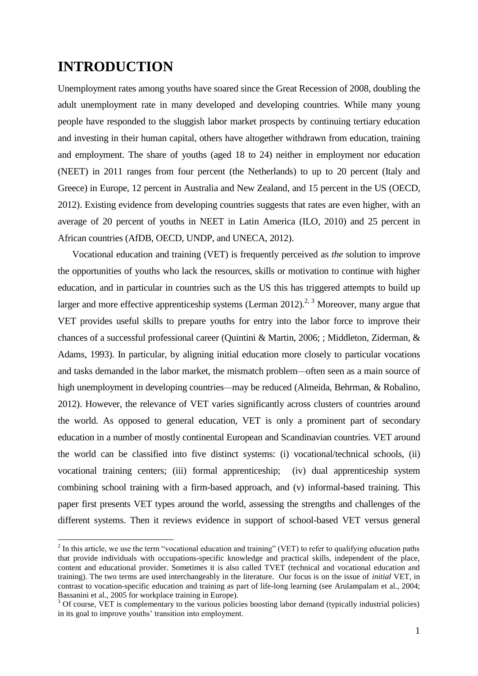# **INTRODUCTION**

1

Unemployment rates among youths have soared since the Great Recession of 2008, doubling the adult unemployment rate in many developed and developing countries. While many young people have responded to the sluggish labor market prospects by continuing tertiary education and investing in their human capital, others have altogether withdrawn from education, training and employment. The share of youths (aged 18 to 24) neither in employment nor education (NEET) in 2011 ranges from four percent (the Netherlands) to up to 20 percent (Italy and Greece) in Europe, 12 percent in Australia and New Zealand, and 15 percent in the US (OECD, 2012). Existing evidence from developing countries suggests that rates are even higher, with an average of 20 percent of youths in NEET in Latin America (ILO, 2010) and 25 percent in African countries (AfDB, OECD, UNDP, and UNECA, 2012).

Vocational education and training (VET) is frequently perceived as *the* solution to improve the opportunities of youths who lack the resources, skills or motivation to continue with higher education, and in particular in countries such as the US this has triggered attempts to build up larger and more effective apprenticeship systems (Lerman  $2012$ ).<sup>2, 3</sup> Moreover, many argue that VET provides useful skills to prepare youths for entry into the labor force to improve their chances of a successful professional career (Quintini & Martin, 2006; ; Middleton, Ziderman, & Adams, 1993). In particular, by aligning initial education more closely to particular vocations and tasks demanded in the labor market, the mismatch problem*—*often seen as a main source of high unemployment in developing countries*—*may be reduced (Almeida, Behrman, & Robalino, 2012). However, the relevance of VET varies significantly across clusters of countries around the world. As opposed to general education, VET is only a prominent part of secondary education in a number of mostly continental European and Scandinavian countries. VET around the world can be classified into five distinct systems: (i) vocational/technical schools, (ii) vocational training centers; (iii) formal apprenticeship; (iv) dual apprenticeship system combining school training with a firm-based approach, and (v) informal-based training. This paper first presents VET types around the world, assessing the strengths and challenges of the different systems. Then it reviews evidence in support of school-based VET versus general

 $2$  In this article, we use the term "vocational education and training" (VET) to refer to qualifying education paths that provide individuals with occupations-specific knowledge and practical skills, independent of the place, content and educational provider. Sometimes it is also called TVET (technical and vocational education and training). The two terms are used interchangeably in the literature. Our focus is on the issue of *initial* VET, in contrast to vocation-specific education and training as part of life-long learning (see Arulampalam et al., 2004; Bassanini et al., 2005 for workplace training in Europe).

<sup>&</sup>lt;sup>3</sup> Of course, VET is complementary to the various policies boosting labor demand (typically industrial policies) in its goal to improve youths' transition into employment.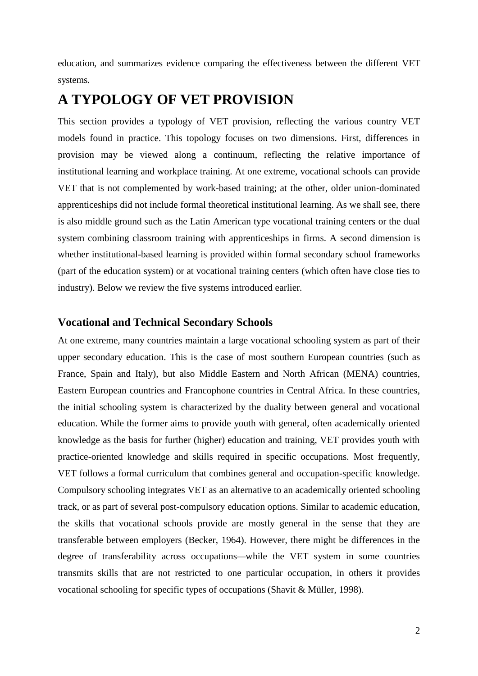education, and summarizes evidence comparing the effectiveness between the different VET systems.

# **A TYPOLOGY OF VET PROVISION**

This section provides a typology of VET provision, reflecting the various country VET models found in practice. This topology focuses on two dimensions. First, differences in provision may be viewed along a continuum, reflecting the relative importance of institutional learning and workplace training. At one extreme, vocational schools can provide VET that is not complemented by work-based training; at the other, older union-dominated apprenticeships did not include formal theoretical institutional learning. As we shall see, there is also middle ground such as the Latin American type vocational training centers or the dual system combining classroom training with apprenticeships in firms. A second dimension is whether institutional-based learning is provided within formal secondary school frameworks (part of the education system) or at vocational training centers (which often have close ties to industry). Below we review the five systems introduced earlier.

## **Vocational and Technical Secondary Schools**

At one extreme, many countries maintain a large vocational schooling system as part of their upper secondary education. This is the case of most southern European countries (such as France, Spain and Italy), but also Middle Eastern and North African (MENA) countries, Eastern European countries and Francophone countries in Central Africa. In these countries, the initial schooling system is characterized by the duality between general and vocational education. While the former aims to provide youth with general, often academically oriented knowledge as the basis for further (higher) education and training, VET provides youth with practice-oriented knowledge and skills required in specific occupations. Most frequently, VET follows a formal curriculum that combines general and occupation-specific knowledge. Compulsory schooling integrates VET as an alternative to an academically oriented schooling track, or as part of several post-compulsory education options. Similar to academic education, the skills that vocational schools provide are mostly general in the sense that they are transferable between employers (Becker, 1964). However, there might be differences in the degree of transferability across occupations*—*while the VET system in some countries transmits skills that are not restricted to one particular occupation, in others it provides vocational schooling for specific types of occupations (Shavit & Müller, 1998).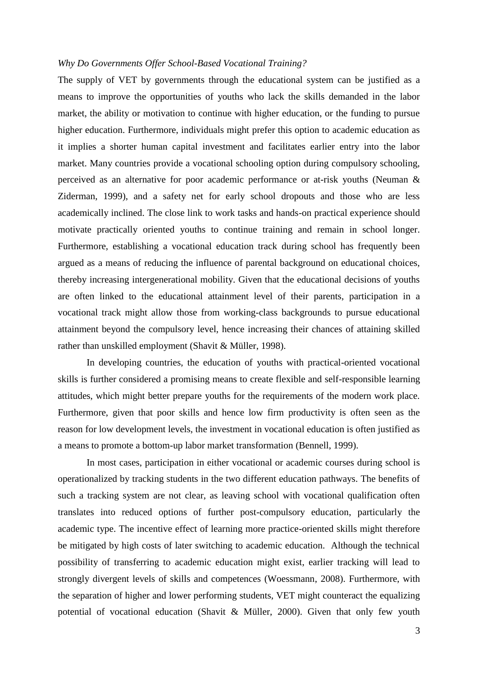#### *Why Do Governments Offer School-Based Vocational Training?*

The supply of VET by governments through the educational system can be justified as a means to improve the opportunities of youths who lack the skills demanded in the labor market, the ability or motivation to continue with higher education, or the funding to pursue higher education. Furthermore, individuals might prefer this option to academic education as it implies a shorter human capital investment and facilitates earlier entry into the labor market. Many countries provide a vocational schooling option during compulsory schooling, perceived as an alternative for poor academic performance or at-risk youths (Neuman & Ziderman, 1999), and a safety net for early school dropouts and those who are less academically inclined. The close link to work tasks and hands-on practical experience should motivate practically oriented youths to continue training and remain in school longer. Furthermore, establishing a vocational education track during school has frequently been argued as a means of reducing the influence of parental background on educational choices, thereby increasing intergenerational mobility. Given that the educational decisions of youths are often linked to the educational attainment level of their parents, participation in a vocational track might allow those from working-class backgrounds to pursue educational attainment beyond the compulsory level, hence increasing their chances of attaining skilled rather than unskilled employment (Shavit & Müller, 1998).

In developing countries, the education of youths with practical-oriented vocational skills is further considered a promising means to create flexible and self-responsible learning attitudes, which might better prepare youths for the requirements of the modern work place. Furthermore, given that poor skills and hence low firm productivity is often seen as the reason for low development levels, the investment in vocational education is often justified as a means to promote a bottom-up labor market transformation (Bennell, 1999).

In most cases, participation in either vocational or academic courses during school is operationalized by tracking students in the two different education pathways. The benefits of such a tracking system are not clear, as leaving school with vocational qualification often translates into reduced options of further post-compulsory education, particularly the academic type. The incentive effect of learning more practice-oriented skills might therefore be mitigated by high costs of later switching to academic education. Although the technical possibility of transferring to academic education might exist, earlier tracking will lead to strongly divergent levels of skills and competences (Woessmann, 2008). Furthermore, with the separation of higher and lower performing students, VET might counteract the equalizing potential of vocational education (Shavit & Müller, 2000). Given that only few youth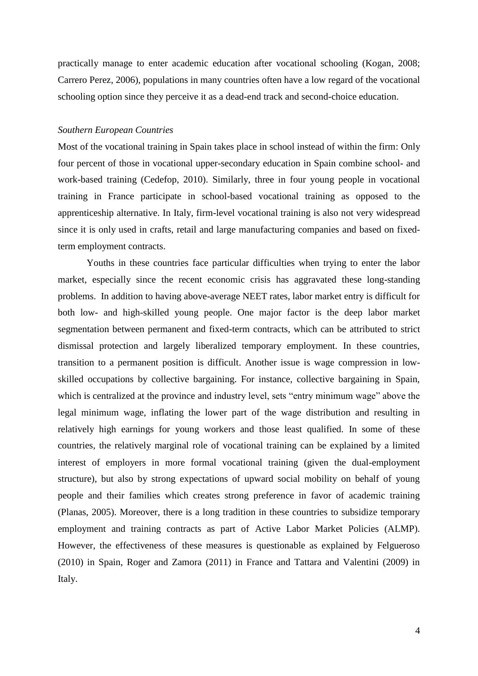practically manage to enter academic education after vocational schooling (Kogan, 2008; Carrero Perez, 2006), populations in many countries often have a low regard of the vocational schooling option since they perceive it as a dead-end track and second-choice education.

#### *Southern European Countries*

Most of the vocational training in Spain takes place in school instead of within the firm: Only four percent of those in vocational upper-secondary education in Spain combine school- and work-based training (Cedefop, 2010). Similarly, three in four young people in vocational training in France participate in school-based vocational training as opposed to the apprenticeship alternative. In Italy, firm-level vocational training is also not very widespread since it is only used in crafts, retail and large manufacturing companies and based on fixedterm employment contracts.

Youths in these countries face particular difficulties when trying to enter the labor market, especially since the recent economic crisis has aggravated these long-standing problems. In addition to having above-average NEET rates, labor market entry is difficult for both low- and high-skilled young people. One major factor is the deep labor market segmentation between permanent and fixed-term contracts, which can be attributed to strict dismissal protection and largely liberalized temporary employment. In these countries, transition to a permanent position is difficult. Another issue is wage compression in lowskilled occupations by collective bargaining. For instance, collective bargaining in Spain, which is centralized at the province and industry level, sets "entry minimum wage" above the legal minimum wage, inflating the lower part of the wage distribution and resulting in relatively high earnings for young workers and those least qualified. In some of these countries, the relatively marginal role of vocational training can be explained by a limited interest of employers in more formal vocational training (given the dual-employment structure), but also by strong expectations of upward social mobility on behalf of young people and their families which creates strong preference in favor of academic training (Planas, 2005). Moreover, there is a long tradition in these countries to subsidize temporary employment and training contracts as part of Active Labor Market Policies (ALMP). However, the effectiveness of these measures is questionable as explained by Felgueroso (2010) in Spain, Roger and Zamora (2011) in France and Tattara and Valentini (2009) in Italy.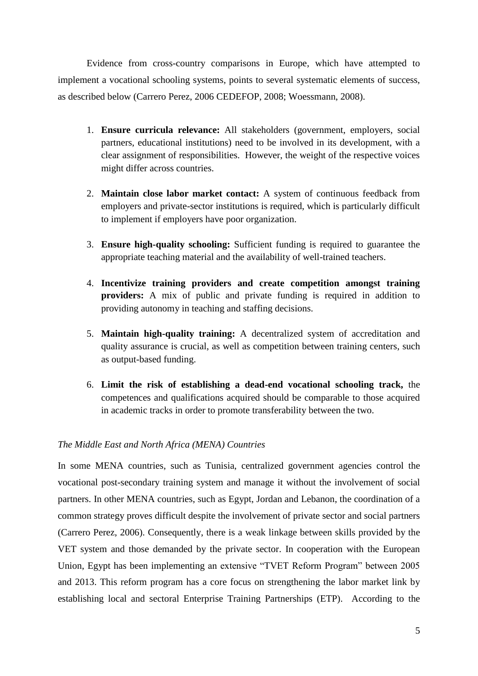Evidence from cross-country comparisons in Europe, which have attempted to implement a vocational schooling systems, points to several systematic elements of success, as described below (Carrero Perez, 2006 CEDEFOP, 2008; Woessmann, 2008).

- 1. **Ensure curricula relevance:** All stakeholders (government, employers, social partners, educational institutions) need to be involved in its development, with a clear assignment of responsibilities. However, the weight of the respective voices might differ across countries.
- 2. **Maintain close labor market contact:** A system of continuous feedback from employers and private-sector institutions is required, which is particularly difficult to implement if employers have poor organization.
- 3. **Ensure high-quality schooling:** Sufficient funding is required to guarantee the appropriate teaching material and the availability of well-trained teachers.
- 4. **Incentivize training providers and create competition amongst training providers:** A mix of public and private funding is required in addition to providing autonomy in teaching and staffing decisions.
- 5. **Maintain high-quality training:** A decentralized system of accreditation and quality assurance is crucial, as well as competition between training centers, such as output-based funding.
- 6. **Limit the risk of establishing a dead-end vocational schooling track,** the competences and qualifications acquired should be comparable to those acquired in academic tracks in order to promote transferability between the two.

## *The Middle East and North Africa (MENA) Countries*

In some MENA countries, such as Tunisia, centralized government agencies control the vocational post-secondary training system and manage it without the involvement of social partners. In other MENA countries, such as Egypt, Jordan and Lebanon, the coordination of a common strategy proves difficult despite the involvement of private sector and social partners (Carrero Perez, 2006). Consequently, there is a weak linkage between skills provided by the VET system and those demanded by the private sector. In cooperation with the European Union, Egypt has been implementing an extensive "TVET Reform Program" between 2005 and 2013. This reform program has a core focus on strengthening the labor market link by establishing local and sectoral Enterprise Training Partnerships (ETP). According to the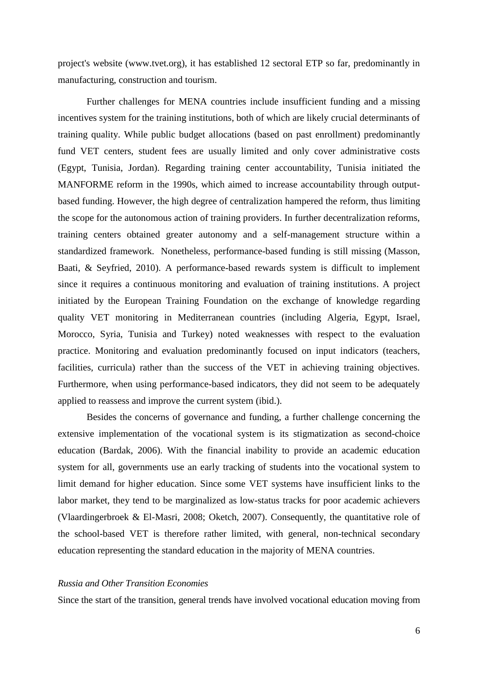project's website [\(www.tvet.org\)](http://www.tvet.org/), it has established 12 sectoral ETP so far, predominantly in manufacturing, construction and tourism.

Further challenges for MENA countries include insufficient funding and a missing incentives system for the training institutions, both of which are likely crucial determinants of training quality. While public budget allocations (based on past enrollment) predominantly fund VET centers, student fees are usually limited and only cover administrative costs (Egypt, Tunisia, Jordan). Regarding training center accountability, Tunisia initiated the MANFORME reform in the 1990s, which aimed to increase accountability through outputbased funding. However, the high degree of centralization hampered the reform, thus limiting the scope for the autonomous action of training providers. In further decentralization reforms, training centers obtained greater autonomy and a self-management structure within a standardized framework. Nonetheless, performance-based funding is still missing (Masson, Baati, & Seyfried, 2010). A performance-based rewards system is difficult to implement since it requires a continuous monitoring and evaluation of training institutions. A project initiated by the European Training Foundation on the exchange of knowledge regarding quality VET monitoring in Mediterranean countries (including Algeria, Egypt, Israel, Morocco, Syria, Tunisia and Turkey) noted weaknesses with respect to the evaluation practice. Monitoring and evaluation predominantly focused on input indicators (teachers, facilities, curricula) rather than the success of the VET in achieving training objectives. Furthermore, when using performance-based indicators, they did not seem to be adequately applied to reassess and improve the current system (ibid.).

Besides the concerns of governance and funding, a further challenge concerning the extensive implementation of the vocational system is its stigmatization as second-choice education (Bardak, 2006). With the financial inability to provide an academic education system for all, governments use an early tracking of students into the vocational system to limit demand for higher education. Since some VET systems have insufficient links to the labor market, they tend to be marginalized as low-status tracks for poor academic achievers (Vlaardingerbroek & El-Masri, 2008; Oketch, 2007). Consequently, the quantitative role of the school-based VET is therefore rather limited, with general, non-technical secondary education representing the standard education in the majority of MENA countries.

## *Russia and Other Transition Economies*

Since the start of the transition, general trends have involved vocational education moving from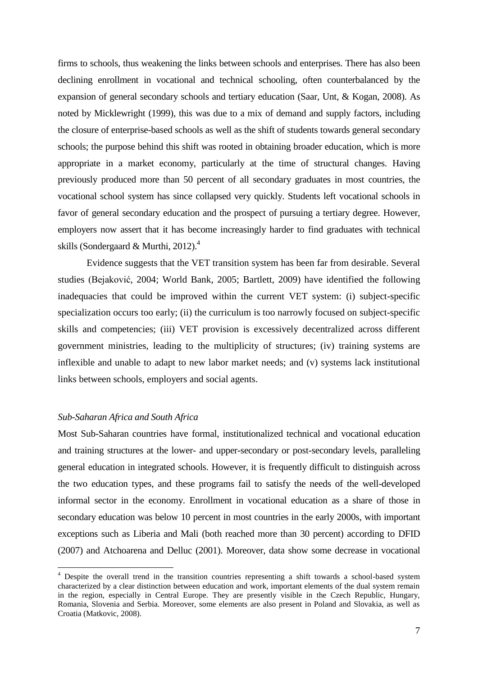firms to schools, thus weakening the links between schools and enterprises. There has also been declining enrollment in vocational and technical schooling, often counterbalanced by the expansion of general secondary schools and tertiary education (Saar, Unt, & Kogan, 2008). As noted by Micklewright (1999), this was due to a mix of demand and supply factors, including the closure of enterprise-based schools as well as the shift of students towards general secondary schools; the purpose behind this shift was rooted in obtaining broader education, which is more appropriate in a market economy, particularly at the time of structural changes. Having previously produced more than 50 percent of all secondary graduates in most countries, the vocational school system has since collapsed very quickly. Students left vocational schools in favor of general secondary education and the prospect of pursuing a tertiary degree. However, employers now assert that it has become increasingly harder to find graduates with technical skills (Sondergaard & Murthi, 2012).<sup>4</sup>

Evidence suggests that the VET transition system has been far from desirable. Several studies (Bejaković, 2004; World Bank, 2005; Bartlett, 2009) have identified the following inadequacies that could be improved within the current VET system: (i) subject-specific specialization occurs too early; (ii) the curriculum is too narrowly focused on subject-specific skills and competencies; (iii) VET provision is excessively decentralized across different government ministries, leading to the multiplicity of structures; (iv) training systems are inflexible and unable to adapt to new labor market needs; and (v) systems lack institutional links between schools, employers and social agents.

#### *Sub-Saharan Africa and South Africa*

<u>.</u>

Most Sub-Saharan countries have formal, institutionalized technical and vocational education and training structures at the lower- and upper-secondary or post-secondary levels, paralleling general education in integrated schools. However, it is frequently difficult to distinguish across the two education types, and these programs fail to satisfy the needs of the well-developed informal sector in the economy. Enrollment in vocational education as a share of those in secondary education was below 10 percent in most countries in the early 2000s, with important exceptions such as Liberia and Mali (both reached more than 30 percent) according to DFID (2007) and Atchoarena and Delluc (2001). Moreover, data show some decrease in vocational

<sup>&</sup>lt;sup>4</sup> Despite the overall trend in the transition countries representing a shift towards a school-based system characterized by a clear distinction between education and work, important elements of the dual system remain in the region, especially in Central Europe. They are presently visible in the Czech Republic, Hungary, Romania, Slovenia and Serbia. Moreover, some elements are also present in Poland and Slovakia, as well as Croatia (Matkovic, 2008).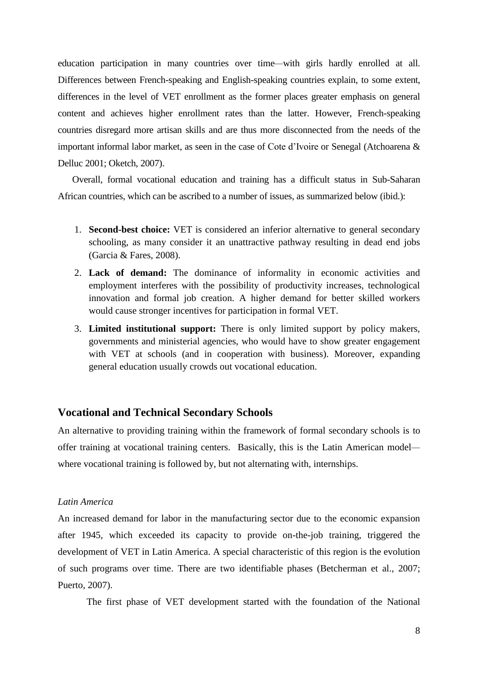education participation in many countries over time*—*with girls hardly enrolled at all. Differences between French-speaking and English-speaking countries explain, to some extent, differences in the level of VET enrollment as the former places greater emphasis on general content and achieves higher enrollment rates than the latter. However, French-speaking countries disregard more artisan skills and are thus more disconnected from the needs of the important informal labor market, as seen in the case of Cote d'Ivoire or Senegal (Atchoarena & Delluc 2001; Oketch, 2007).

Overall, formal vocational education and training has a difficult status in Sub-Saharan African countries, which can be ascribed to a number of issues, as summarized below (ibid.):

- 1. **Second-best choice:** VET is considered an inferior alternative to general secondary schooling, as many consider it an unattractive pathway resulting in dead end jobs (Garcia & Fares, 2008).
- 2. **Lack of demand:** The dominance of informality in economic activities and employment interferes with the possibility of productivity increases, technological innovation and formal job creation. A higher demand for better skilled workers would cause stronger incentives for participation in formal VET.
- 3. **Limited institutional support:** There is only limited support by policy makers, governments and ministerial agencies, who would have to show greater engagement with VET at schools (and in cooperation with business). Moreover, expanding general education usually crowds out vocational education.

## **Vocational and Technical Secondary Schools**

An alternative to providing training within the framework of formal secondary schools is to offer training at vocational training centers. Basically, this is the Latin American model where vocational training is followed by, but not alternating with, internships.

#### *Latin America*

An increased demand for labor in the manufacturing sector due to the economic expansion after 1945, which exceeded its capacity to provide on-the-job training, triggered the development of VET in Latin America. A special characteristic of this region is the evolution of such programs over time. There are two identifiable phases (Betcherman et al., 2007; Puerto, 2007).

The first phase of VET development started with the foundation of the National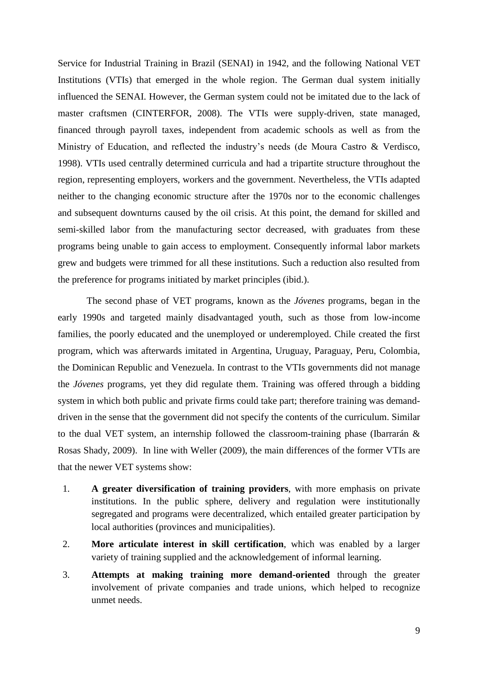Service for Industrial Training in Brazil (SENAI) in 1942, and the following National VET Institutions (VTIs) that emerged in the whole region. The German dual system initially influenced the SENAI. However, the German system could not be imitated due to the lack of master craftsmen (CINTERFOR, 2008). The VTIs were supply-driven, state managed, financed through payroll taxes, independent from academic schools as well as from the Ministry of Education, and reflected the industry's needs (de Moura Castro & Verdisco, 1998). VTIs used centrally determined curricula and had a tripartite structure throughout the region, representing employers, workers and the government. Nevertheless, the VTIs adapted neither to the changing economic structure after the 1970s nor to the economic challenges and subsequent downturns caused by the oil crisis. At this point, the demand for skilled and semi-skilled labor from the manufacturing sector decreased, with graduates from these programs being unable to gain access to employment. Consequently informal labor markets grew and budgets were trimmed for all these institutions. Such a reduction also resulted from the preference for programs initiated by market principles (ibid.).

The second phase of VET programs, known as the *Jóvenes* programs, began in the early 1990s and targeted mainly disadvantaged youth, such as those from low-income families, the poorly educated and the unemployed or underemployed. Chile created the first program, which was afterwards imitated in Argentina, Uruguay, Paraguay, Peru, Colombia, the Dominican Republic and Venezuela. In contrast to the VTIs governments did not manage the *Jóvenes* programs, yet they did regulate them. Training was offered through a bidding system in which both public and private firms could take part; therefore training was demanddriven in the sense that the government did not specify the contents of the curriculum. Similar to the dual VET system, an internship followed the classroom-training phase (Ibarrarán & Rosas Shady, 2009). In line with Weller (2009), the main differences of the former VTIs are that the newer VET systems show:

- 1. **A greater diversification of training providers**, with more emphasis on private institutions. In the public sphere, delivery and regulation were institutionally segregated and programs were decentralized, which entailed greater participation by local authorities (provinces and municipalities).
- 2. **More articulate interest in skill certification**, which was enabled by a larger variety of training supplied and the acknowledgement of informal learning.
- 3. **Attempts at making training more demand-oriented** through the greater involvement of private companies and trade unions, which helped to recognize unmet needs.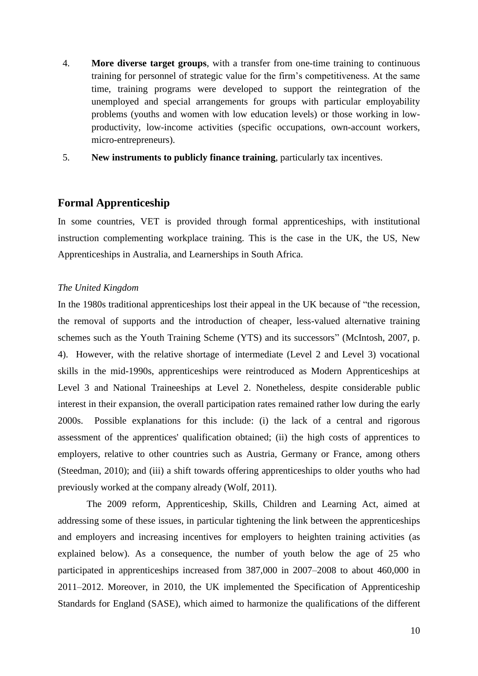- 4. **More diverse target groups**, with a transfer from one-time training to continuous training for personnel of strategic value for the firm's competitiveness. At the same time, training programs were developed to support the reintegration of the unemployed and special arrangements for groups with particular employability problems (youths and women with low education levels) or those working in lowproductivity, low-income activities (specific occupations, own-account workers, micro-entrepreneurs).
- 5. **New instruments to publicly finance training**, particularly tax incentives.

## **Formal Apprenticeship**

In some countries, VET is provided through formal apprenticeships, with institutional instruction complementing workplace training. This is the case in the UK, the US, New Apprenticeships in Australia, and Learnerships in South Africa.

## *The United Kingdom*

In the 1980s traditional apprenticeships lost their appeal in the UK because of "the recession, the removal of supports and the introduction of cheaper, less-valued alternative training schemes such as the Youth Training Scheme (YTS) and its successors" (McIntosh, 2007, p. 4). However, with the relative shortage of intermediate (Level 2 and Level 3) vocational skills in the mid-1990s, apprenticeships were reintroduced as Modern Apprenticeships at Level 3 and National Traineeships at Level 2. Nonetheless, despite considerable public interest in their expansion, the overall participation rates remained rather low during the early 2000s. Possible explanations for this include: (i) the lack of a central and rigorous assessment of the apprentices' qualification obtained; (ii) the high costs of apprentices to employers, relative to other countries such as Austria, Germany or France, among others (Steedman, 2010); and (iii) a shift towards offering apprenticeships to older youths who had previously worked at the company already (Wolf, 2011).

The 2009 reform, Apprenticeship, Skills, Children and Learning Act, aimed at addressing some of these issues, in particular tightening the link between the apprenticeships and employers and increasing incentives for employers to heighten training activities (as explained below). As a consequence, the number of youth below the age of 25 who participated in apprenticeships increased from 387,000 in 2007*–*2008 to about 460,000 in 2011*–*2012. Moreover, in 2010, the UK implemented the Specification of Apprenticeship Standards for England (SASE), which aimed to harmonize the qualifications of the different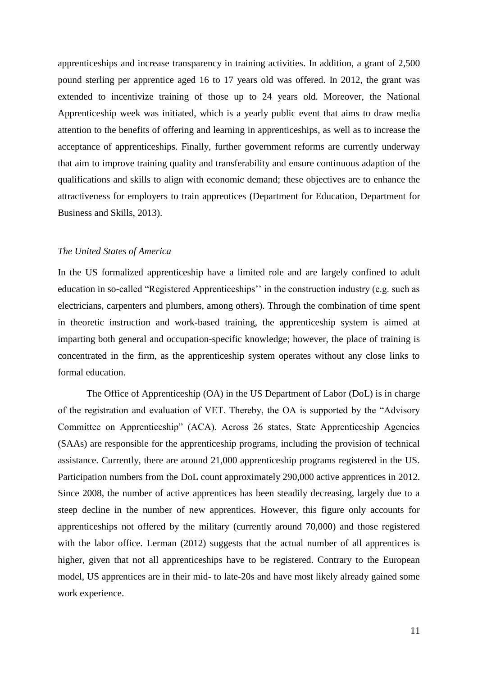apprenticeships and increase transparency in training activities. In addition, a grant of 2,500 pound sterling per apprentice aged 16 to 17 years old was offered. In 2012, the grant was extended to incentivize training of those up to 24 years old. Moreover, the National Apprenticeship week was initiated, which is a yearly public event that aims to draw media attention to the benefits of offering and learning in apprenticeships, as well as to increase the acceptance of apprenticeships. Finally, further government reforms are currently underway that aim to improve training quality and transferability and ensure continuous adaption of the qualifications and skills to align with economic demand; these objectives are to enhance the attractiveness for employers to train apprentices (Department for Education, Department for Business and Skills, 2013).

### *The United States of America*

In the US formalized apprenticeship have a limited role and are largely confined to adult education in so-called "Registered Apprenticeships'' in the construction industry (e.g. such as electricians, carpenters and plumbers, among others). Through the combination of time spent in theoretic instruction and work-based training, the apprenticeship system is aimed at imparting both general and occupation-specific knowledge; however, the place of training is concentrated in the firm, as the apprenticeship system operates without any close links to formal education.

The Office of Apprenticeship (OA) in the US Department of Labor (DoL) is in charge of the registration and evaluation of VET. Thereby, the OA is supported by the "Advisory Committee on Apprenticeship" (ACA). Across 26 states, State Apprenticeship Agencies (SAAs) are responsible for the apprenticeship programs, including the provision of technical assistance. Currently, there are around 21,000 apprenticeship programs registered in the US. Participation numbers from the DoL count approximately 290,000 active apprentices in 2012. Since 2008, the number of active apprentices has been steadily decreasing, largely due to a steep decline in the number of new apprentices. However, this figure only accounts for apprenticeships not offered by the military (currently around 70,000) and those registered with the labor office. Lerman (2012) suggests that the actual number of all apprentices is higher, given that not all apprenticeships have to be registered. Contrary to the European model, US apprentices are in their mid- to late-20s and have most likely already gained some work experience.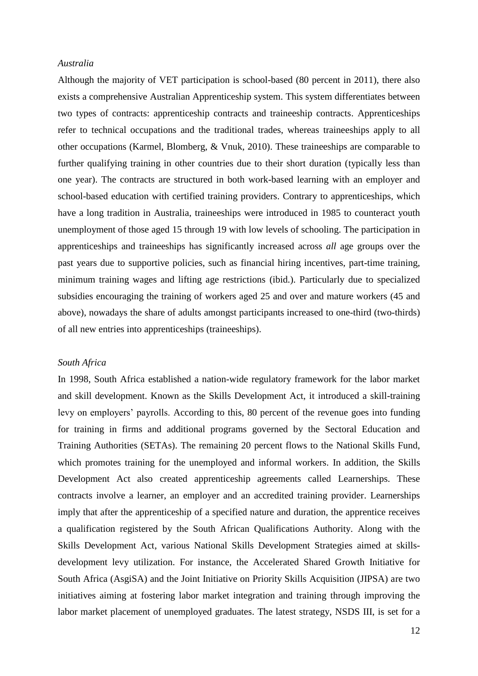### *Australia*

Although the majority of VET participation is school-based (80 percent in 2011), there also exists a comprehensive Australian Apprenticeship system. This system differentiates between two types of contracts: apprenticeship contracts and traineeship contracts. Apprenticeships refer to technical occupations and the traditional trades, whereas traineeships apply to all other occupations (Karmel, Blomberg, & Vnuk, 2010). These traineeships are comparable to further qualifying training in other countries due to their short duration (typically less than one year). The contracts are structured in both work-based learning with an employer and school-based education with certified training providers. Contrary to apprenticeships, which have a long tradition in Australia, traineeships were introduced in 1985 to counteract youth unemployment of those aged 15 through 19 with low levels of schooling. The participation in apprenticeships and traineeships has significantly increased across *all* age groups over the past years due to supportive policies, such as financial hiring incentives, part-time training, minimum training wages and lifting age restrictions (ibid.). Particularly due to specialized subsidies encouraging the training of workers aged 25 and over and mature workers (45 and above), nowadays the share of adults amongst participants increased to one-third (two-thirds) of all new entries into apprenticeships (traineeships).

#### *South Africa*

In 1998, South Africa established a nation-wide regulatory framework for the labor market and skill development. Known as the Skills Development Act, it introduced a skill-training levy on employers' payrolls. According to this, 80 percent of the revenue goes into funding for training in firms and additional programs governed by the Sectoral Education and Training Authorities (SETAs). The remaining 20 percent flows to the National Skills Fund, which promotes training for the unemployed and informal workers. In addition, the Skills Development Act also created apprenticeship agreements called Learnerships. These contracts involve a learner, an employer and an accredited training provider. Learnerships imply that after the apprenticeship of a specified nature and duration, the apprentice receives a qualification registered by the South African Qualifications Authority. Along with the Skills Development Act, various National Skills Development Strategies aimed at skillsdevelopment levy utilization. For instance, the Accelerated Shared Growth Initiative for South Africa (AsgiSA) and the Joint Initiative on Priority Skills Acquisition (JIPSA) are two initiatives aiming at fostering labor market integration and training through improving the labor market placement of unemployed graduates. The latest strategy, NSDS III, is set for a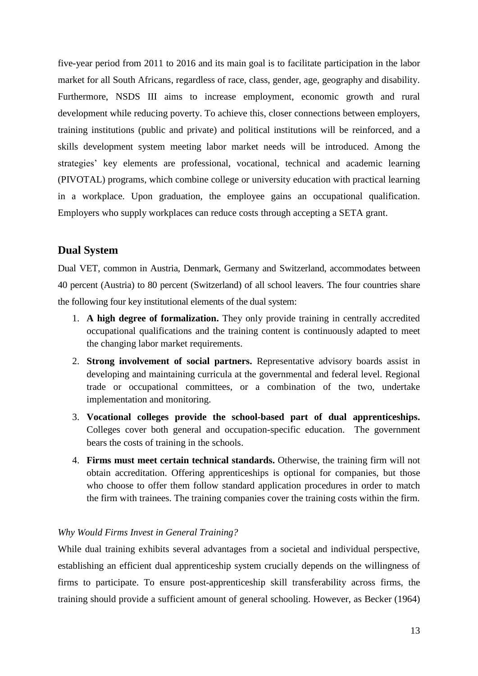five-year period from 2011 to 2016 and its main goal is to facilitate participation in the labor market for all South Africans, regardless of race, class, gender, age, geography and disability. Furthermore, NSDS III aims to increase employment, economic growth and rural development while reducing poverty. To achieve this, closer connections between employers, training institutions (public and private) and political institutions will be reinforced, and a skills development system meeting labor market needs will be introduced. Among the strategies' key elements are professional, vocational, technical and academic learning (PIVOTAL) programs, which combine college or university education with practical learning in a workplace. Upon graduation, the employee gains an occupational qualification. Employers who supply workplaces can reduce costs through accepting a SETA grant.

## **Dual System**

Dual VET, common in Austria, Denmark, Germany and Switzerland, accommodates between 40 percent (Austria) to 80 percent (Switzerland) of all school leavers. The four countries share the following four key institutional elements of the dual system:

- 1. **A high degree of formalization.** They only provide training in centrally accredited occupational qualifications and the training content is continuously adapted to meet the changing labor market requirements.
- 2. **Strong involvement of social partners.** Representative advisory boards assist in developing and maintaining curricula at the governmental and federal level. Regional trade or occupational committees, or a combination of the two, undertake implementation and monitoring.
- 3. **Vocational colleges provide the school-based part of dual apprenticeships.**  Colleges cover both general and occupation-specific education. The government bears the costs of training in the schools.
- 4. **Firms must meet certain technical standards.** Otherwise, the training firm will not obtain accreditation. Offering apprenticeships is optional for companies, but those who choose to offer them follow standard application procedures in order to match the firm with trainees. The training companies cover the training costs within the firm.

## *Why Would Firms Invest in General Training?*

While dual training exhibits several advantages from a societal and individual perspective, establishing an efficient dual apprenticeship system crucially depends on the willingness of firms to participate. To ensure post-apprenticeship skill transferability across firms, the training should provide a sufficient amount of general schooling. However, as Becker (1964)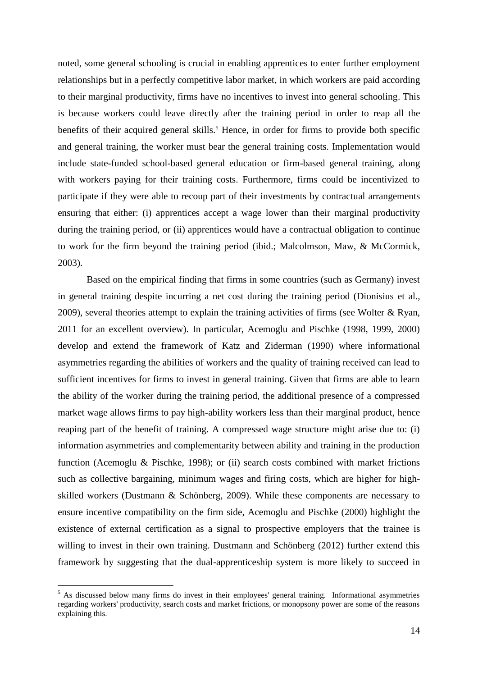noted, some general schooling is crucial in enabling apprentices to enter further employment relationships but in a perfectly competitive labor market, in which workers are paid according to their marginal productivity, firms have no incentives to invest into general schooling. This is because workers could leave directly after the training period in order to reap all the benefits of their acquired general skills.<sup>5</sup> Hence, in order for firms to provide both specific and general training, the worker must bear the general training costs. Implementation would include state-funded school-based general education or firm-based general training, along with workers paying for their training costs. Furthermore, firms could be incentivized to participate if they were able to recoup part of their investments by contractual arrangements ensuring that either: (i) apprentices accept a wage lower than their marginal productivity during the training period, or (ii) apprentices would have a contractual obligation to continue to work for the firm beyond the training period (ibid.; Malcolmson, Maw, & McCormick, 2003).

Based on the empirical finding that firms in some countries (such as Germany) invest in general training despite incurring a net cost during the training period (Dionisius et al., 2009), several theories attempt to explain the training activities of firms (see Wolter & Ryan, 2011 for an excellent overview). In particular, Acemoglu and Pischke (1998, 1999, 2000) develop and extend the framework of Katz and Ziderman (1990) where informational asymmetries regarding the abilities of workers and the quality of training received can lead to sufficient incentives for firms to invest in general training. Given that firms are able to learn the ability of the worker during the training period, the additional presence of a compressed market wage allows firms to pay high-ability workers less than their marginal product, hence reaping part of the benefit of training. A compressed wage structure might arise due to: (i) information asymmetries and complementarity between ability and training in the production function (Acemoglu & Pischke, 1998); or (ii) search costs combined with market frictions such as collective bargaining, minimum wages and firing costs, which are higher for highskilled workers (Dustmann & Schönberg, 2009). While these components are necessary to ensure incentive compatibility on the firm side, Acemoglu and Pischke (2000) highlight the existence of external certification as a signal to prospective employers that the trainee is willing to invest in their own training. Dustmann and Schönberg (2012) further extend this framework by suggesting that the dual-apprenticeship system is more likely to succeed in

<u>.</u>

<sup>&</sup>lt;sup>5</sup> As discussed below many firms do invest in their employees' general training. Informational asymmetries regarding workers' productivity, search costs and market frictions, or monopsony power are some of the reasons explaining this.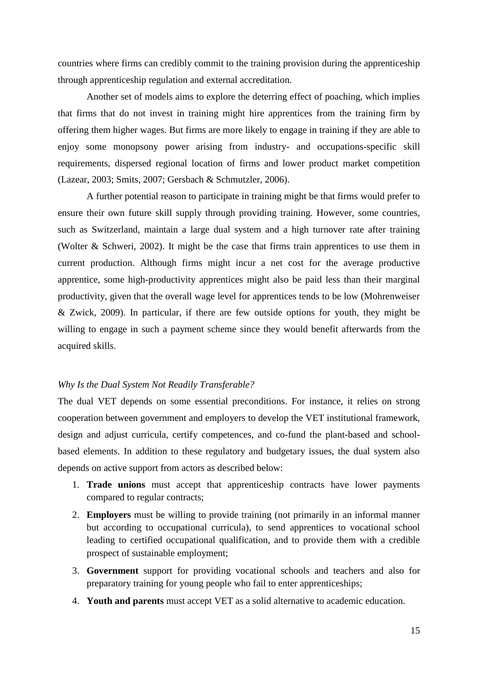countries where firms can credibly commit to the training provision during the apprenticeship through apprenticeship regulation and external accreditation.

Another set of models aims to explore the deterring effect of poaching, which implies that firms that do not invest in training might hire apprentices from the training firm by offering them higher wages. But firms are more likely to engage in training if they are able to enjoy some monopsony power arising from industry- and occupations-specific skill requirements, dispersed regional location of firms and lower product market competition (Lazear, 2003; Smits, 2007; Gersbach & Schmutzler, 2006).

A further potential reason to participate in training might be that firms would prefer to ensure their own future skill supply through providing training. However, some countries, such as Switzerland, maintain a large dual system and a high turnover rate after training (Wolter & Schweri, 2002). It might be the case that firms train apprentices to use them in current production. Although firms might incur a net cost for the average productive apprentice, some high-productivity apprentices might also be paid less than their marginal productivity, given that the overall wage level for apprentices tends to be low (Mohrenweiser & Zwick, 2009). In particular, if there are few outside options for youth, they might be willing to engage in such a payment scheme since they would benefit afterwards from the acquired skills.

#### *Why Is the Dual System Not Readily Transferable?*

The dual VET depends on some essential preconditions. For instance, it relies on strong cooperation between government and employers to develop the VET institutional framework, design and adjust curricula, certify competences, and co-fund the plant-based and schoolbased elements. In addition to these regulatory and budgetary issues, the dual system also depends on active support from actors as described below:

- 1. **Trade unions** must accept that apprenticeship contracts have lower payments compared to regular contracts;
- 2. **Employers** must be willing to provide training (not primarily in an informal manner but according to occupational curricula), to send apprentices to vocational school leading to certified occupational qualification, and to provide them with a credible prospect of sustainable employment;
- 3. **Government** support for providing vocational schools and teachers and also for preparatory training for young people who fail to enter apprenticeships;
- 4. **Youth and parents** must accept VET as a solid alternative to academic education.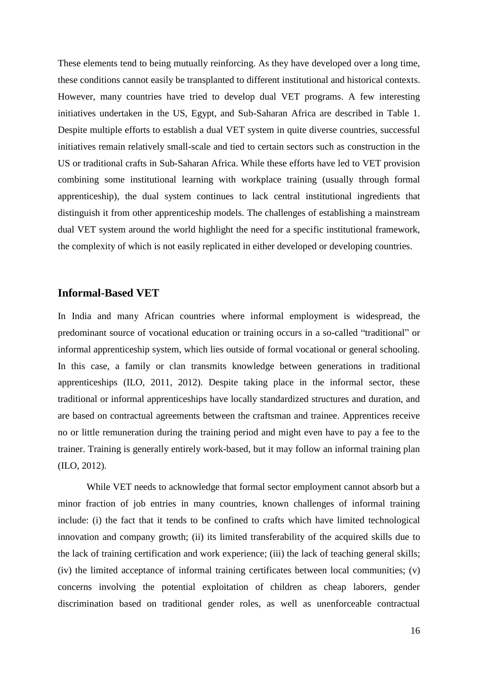These elements tend to being mutually reinforcing. As they have developed over a long time, these conditions cannot easily be transplanted to different institutional and historical contexts. However, many countries have tried to develop dual VET programs. A few interesting initiatives undertaken in the US, Egypt, and Sub-Saharan Africa are described in Table 1. Despite multiple efforts to establish a dual VET system in quite diverse countries, successful initiatives remain relatively small-scale and tied to certain sectors such as construction in the US or traditional crafts in Sub-Saharan Africa. While these efforts have led to VET provision combining some institutional learning with workplace training (usually through formal apprenticeship), the dual system continues to lack central institutional ingredients that distinguish it from other apprenticeship models. The challenges of establishing a mainstream dual VET system around the world highlight the need for a specific institutional framework, the complexity of which is not easily replicated in either developed or developing countries.

## **Informal-Based VET**

In India and many African countries where informal employment is widespread, the predominant source of vocational education or training occurs in a so-called "traditional" or informal apprenticeship system, which lies outside of formal vocational or general schooling. In this case, a family or clan transmits knowledge between generations in traditional apprenticeships (ILO, 2011, 2012). Despite taking place in the informal sector, these traditional or informal apprenticeships have locally standardized structures and duration, and are based on contractual agreements between the craftsman and trainee. Apprentices receive no or little remuneration during the training period and might even have to pay a fee to the trainer. Training is generally entirely work-based, but it may follow an informal training plan (ILO, 2012).

While VET needs to acknowledge that formal sector employment cannot absorb but a minor fraction of job entries in many countries, known challenges of informal training include: (i) the fact that it tends to be confined to crafts which have limited technological innovation and company growth; (ii) its limited transferability of the acquired skills due to the lack of training certification and work experience; (iii) the lack of teaching general skills; (iv) the limited acceptance of informal training certificates between local communities; (v) concerns involving the potential exploitation of children as cheap laborers, gender discrimination based on traditional gender roles, as well as unenforceable contractual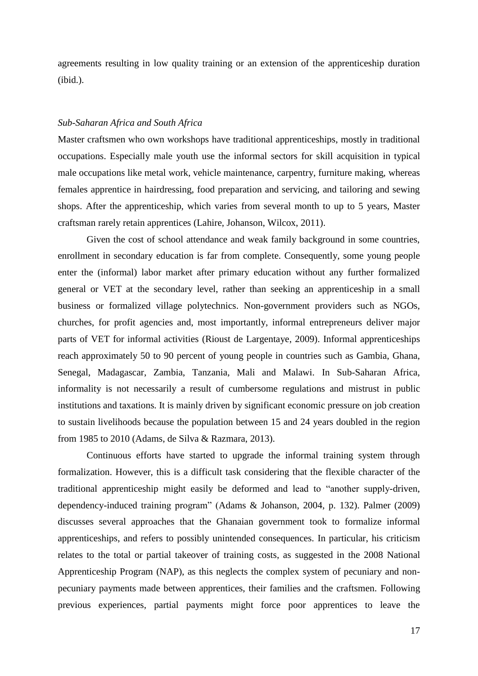agreements resulting in low quality training or an extension of the apprenticeship duration (ibid.).

#### *Sub-Saharan Africa and South Africa*

Master craftsmen who own workshops have traditional apprenticeships, mostly in traditional occupations. Especially male youth use the informal sectors for skill acquisition in typical male occupations like metal work, vehicle maintenance, carpentry, furniture making, whereas females apprentice in hairdressing, food preparation and servicing, and tailoring and sewing shops. After the apprenticeship, which varies from several month to up to 5 years, Master craftsman rarely retain apprentices (Lahire, Johanson, Wilcox, 2011).

Given the cost of school attendance and weak family background in some countries, enrollment in secondary education is far from complete. Consequently, some young people enter the (informal) labor market after primary education without any further formalized general or VET at the secondary level, rather than seeking an apprenticeship in a small business or formalized village polytechnics. Non-government providers such as NGOs, churches, for profit agencies and, most importantly, informal entrepreneurs deliver major parts of VET for informal activities (Rioust de Largentaye, 2009). Informal apprenticeships reach approximately 50 to 90 percent of young people in countries such as Gambia, Ghana, Senegal, Madagascar, Zambia, Tanzania, Mali and Malawi. In Sub-Saharan Africa, informality is not necessarily a result of cumbersome regulations and mistrust in public institutions and taxations. It is mainly driven by significant economic pressure on job creation to sustain livelihoods because the population between 15 and 24 years doubled in the region from 1985 to 2010 (Adams, de Silva & Razmara, 2013).

Continuous efforts have started to upgrade the informal training system through formalization. However, this is a difficult task considering that the flexible character of the traditional apprenticeship might easily be deformed and lead to "another supply-driven, dependency-induced training program" (Adams & Johanson, 2004, p. 132). Palmer (2009) discusses several approaches that the Ghanaian government took to formalize informal apprenticeships, and refers to possibly unintended consequences. In particular, his criticism relates to the total or partial takeover of training costs, as suggested in the 2008 National Apprenticeship Program (NAP), as this neglects the complex system of pecuniary and nonpecuniary payments made between apprentices, their families and the craftsmen. Following previous experiences, partial payments might force poor apprentices to leave the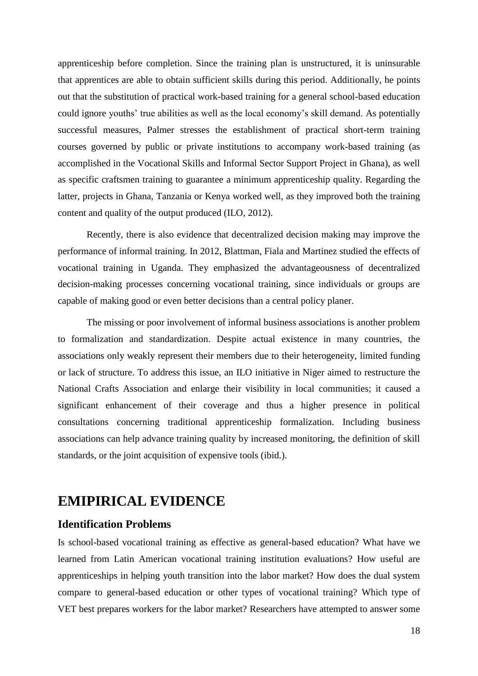apprenticeship before completion. Since the training plan is unstructured, it is uninsurable that apprentices are able to obtain sufficient skills during this period. Additionally, he points out that the substitution of practical work-based training for a general school-based education could ignore youths' true abilities as well as the local economy's skill demand. As potentially successful measures, Palmer stresses the establishment of practical short-term training courses governed by public or private institutions to accompany work-based training (as accomplished in the Vocational Skills and Informal Sector Support Project in Ghana), as well as specific craftsmen training to guarantee a minimum apprenticeship quality. Regarding the latter, projects in Ghana, Tanzania or Kenya worked well, as they improved both the training content and quality of the output produced (ILO, 2012).

Recently, there is also evidence that decentralized decision making may improve the performance of informal training. In 2012, Blattman, Fiala and Martinez studied the effects of vocational training in Uganda. They emphasized the advantageousness of decentralized decision-making processes concerning vocational training, since individuals or groups are capable of making good or even better decisions than a central policy planer.

The missing or poor involvement of informal business associations is another problem to formalization and standardization. Despite actual existence in many countries, the associations only weakly represent their members due to their heterogeneity, limited funding or lack of structure. To address this issue, an ILO initiative in Niger aimed to restructure the National Crafts Association and enlarge their visibility in local communities; it caused a significant enhancement of their coverage and thus a higher presence in political consultations concerning traditional apprenticeship formalization. Including business associations can help advance training quality by increased monitoring, the definition of skill standards, or the joint acquisition of expensive tools (ibid.).

# **EMIPIRICAL EVIDENCE**

## **Identification Problems**

Is school-based vocational training as effective as general-based education? What have we learned from Latin American vocational training institution evaluations? How useful are apprenticeships in helping youth transition into the labor market? How does the dual system compare to general-based education or other types of vocational training? Which type of VET best prepares workers for the labor market? Researchers have attempted to answer some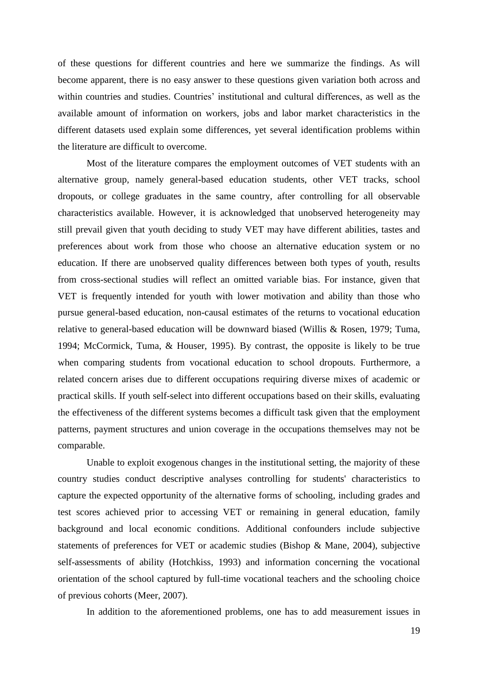of these questions for different countries and here we summarize the findings. As will become apparent, there is no easy answer to these questions given variation both across and within countries and studies. Countries' institutional and cultural differences, as well as the available amount of information on workers, jobs and labor market characteristics in the different datasets used explain some differences, yet several identification problems within the literature are difficult to overcome.

Most of the literature compares the employment outcomes of VET students with an alternative group, namely general-based education students, other VET tracks, school dropouts, or college graduates in the same country, after controlling for all observable characteristics available. However, it is acknowledged that unobserved heterogeneity may still prevail given that youth deciding to study VET may have different abilities, tastes and preferences about work from those who choose an alternative education system or no education. If there are unobserved quality differences between both types of youth, results from cross-sectional studies will reflect an omitted variable bias. For instance, given that VET is frequently intended for youth with lower motivation and ability than those who pursue general-based education, non-causal estimates of the returns to vocational education relative to general-based education will be downward biased (Willis & Rosen, 1979; Tuma, 1994; McCormick, Tuma, & Houser, 1995). By contrast, the opposite is likely to be true when comparing students from vocational education to school dropouts. Furthermore, a related concern arises due to different occupations requiring diverse mixes of academic or practical skills. If youth self-select into different occupations based on their skills, evaluating the effectiveness of the different systems becomes a difficult task given that the employment patterns, payment structures and union coverage in the occupations themselves may not be comparable.

Unable to exploit exogenous changes in the institutional setting, the majority of these country studies conduct descriptive analyses controlling for students' characteristics to capture the expected opportunity of the alternative forms of schooling, including grades and test scores achieved prior to accessing VET or remaining in general education, family background and local economic conditions. Additional confounders include subjective statements of preferences for VET or academic studies (Bishop & Mane, 2004), subjective self-assessments of ability (Hotchkiss, 1993) and information concerning the vocational orientation of the school captured by full-time vocational teachers and the schooling choice of previous cohorts (Meer, 2007).

In addition to the aforementioned problems, one has to add measurement issues in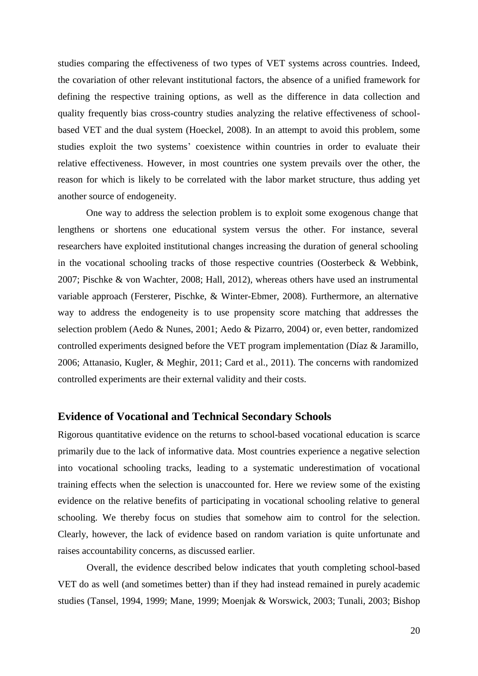studies comparing the effectiveness of two types of VET systems across countries. Indeed, the covariation of other relevant institutional factors, the absence of a unified framework for defining the respective training options, as well as the difference in data collection and quality frequently bias cross-country studies analyzing the relative effectiveness of schoolbased VET and the dual system (Hoeckel, 2008). In an attempt to avoid this problem, some studies exploit the two systems' coexistence within countries in order to evaluate their relative effectiveness. However, in most countries one system prevails over the other, the reason for which is likely to be correlated with the labor market structure, thus adding yet another source of endogeneity.

One way to address the selection problem is to exploit some exogenous change that lengthens or shortens one educational system versus the other. For instance, several researchers have exploited institutional changes increasing the duration of general schooling in the vocational schooling tracks of those respective countries (Oosterbeck & Webbink, 2007; Pischke & von Wachter, 2008; Hall, 2012), whereas others have used an instrumental variable approach (Fersterer, Pischke, & Winter-Ebmer, 2008). Furthermore, an alternative way to address the endogeneity is to use propensity score matching that addresses the selection problem (Aedo & Nunes, 2001; Aedo & Pizarro, 2004) or, even better, randomized controlled experiments designed before the VET program implementation (Díaz & Jaramillo, 2006; Attanasio, Kugler, & Meghir, 2011; Card et al., 2011). The concerns with randomized controlled experiments are their external validity and their costs.

### **Evidence of Vocational and Technical Secondary Schools**

Rigorous quantitative evidence on the returns to school-based vocational education is scarce primarily due to the lack of informative data. Most countries experience a negative selection into vocational schooling tracks, leading to a systematic underestimation of vocational training effects when the selection is unaccounted for. Here we review some of the existing evidence on the relative benefits of participating in vocational schooling relative to general schooling. We thereby focus on studies that somehow aim to control for the selection. Clearly, however, the lack of evidence based on random variation is quite unfortunate and raises accountability concerns, as discussed earlier.

Overall, the evidence described below indicates that youth completing school-based VET do as well (and sometimes better) than if they had instead remained in purely academic studies (Tansel, 1994, 1999; Mane, 1999; Moenjak & Worswick, 2003; Tunali, 2003; Bishop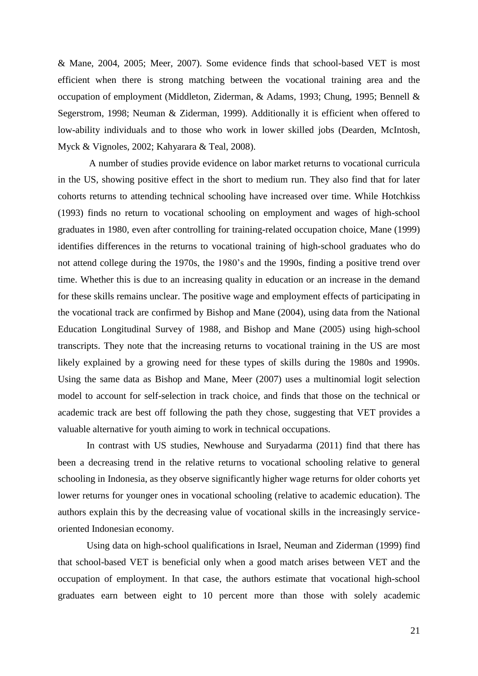& Mane, 2004, 2005; Meer, 2007). Some evidence finds that school-based VET is most efficient when there is strong matching between the vocational training area and the occupation of employment (Middleton, Ziderman, & Adams, 1993; Chung, 1995; Bennell & Segerstrom, 1998; Neuman & Ziderman, 1999). Additionally it is efficient when offered to low-ability individuals and to those who work in lower skilled jobs (Dearden, McIntosh, Myck & Vignoles, 2002; Kahyarara & Teal, 2008).

A number of studies provide evidence on labor market returns to vocational curricula in the US, showing positive effect in the short to medium run. They also find that for later cohorts returns to attending technical schooling have increased over time. While Hotchkiss (1993) finds no return to vocational schooling on employment and wages of high-school graduates in 1980, even after controlling for training-related occupation choice, Mane (1999) identifies differences in the returns to vocational training of high-school graduates who do not attend college during the 1970s, the 1980's and the 1990s, finding a positive trend over time. Whether this is due to an increasing quality in education or an increase in the demand for these skills remains unclear. The positive wage and employment effects of participating in the vocational track are confirmed by Bishop and Mane (2004), using data from the National Education Longitudinal Survey of 1988, and Bishop and Mane (2005) using high-school transcripts. They note that the increasing returns to vocational training in the US are most likely explained by a growing need for these types of skills during the 1980s and 1990s. Using the same data as Bishop and Mane, Meer (2007) uses a multinomial logit selection model to account for self-selection in track choice, and finds that those on the technical or academic track are best off following the path they chose, suggesting that VET provides a valuable alternative for youth aiming to work in technical occupations.

In contrast with US studies, Newhouse and Suryadarma (2011) find that there has been a decreasing trend in the relative returns to vocational schooling relative to general schooling in Indonesia, as they observe significantly higher wage returns for older cohorts yet lower returns for younger ones in vocational schooling (relative to academic education). The authors explain this by the decreasing value of vocational skills in the increasingly serviceoriented Indonesian economy.

Using data on high-school qualifications in Israel, Neuman and Ziderman (1999) find that school-based VET is beneficial only when a good match arises between VET and the occupation of employment. In that case, the authors estimate that vocational high-school graduates earn between eight to 10 percent more than those with solely academic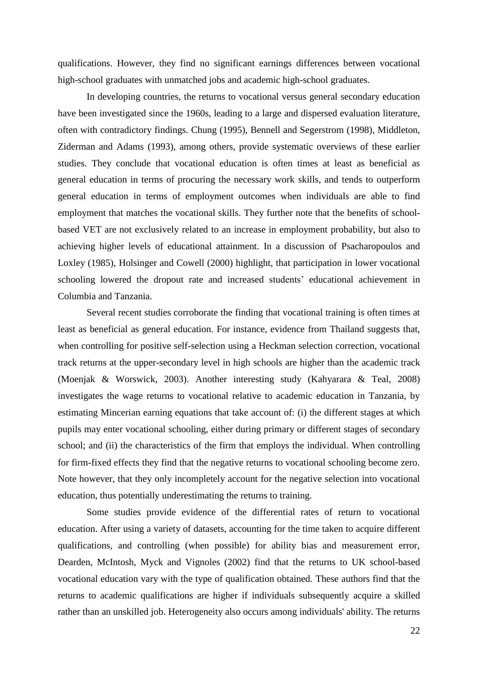qualifications. However, they find no significant earnings differences between vocational high-school graduates with unmatched jobs and academic high-school graduates.

In developing countries, the returns to vocational versus general secondary education have been investigated since the 1960s, leading to a large and dispersed evaluation literature, often with contradictory findings. Chung (1995), Bennell and Segerstrom (1998), Middleton, Ziderman and Adams (1993), among others, provide systematic overviews of these earlier studies. They conclude that vocational education is often times at least as beneficial as general education in terms of procuring the necessary work skills, and tends to outperform general education in terms of employment outcomes when individuals are able to find employment that matches the vocational skills. They further note that the benefits of schoolbased VET are not exclusively related to an increase in employment probability, but also to achieving higher levels of educational attainment. In a discussion of Psacharopoulos and Loxley (1985), Holsinger and Cowell (2000) highlight, that participation in lower vocational schooling lowered the dropout rate and increased students' educational achievement in Columbia and Tanzania.

Several recent studies corroborate the finding that vocational training is often times at least as beneficial as general education. For instance, evidence from Thailand suggests that, when controlling for positive self-selection using a Heckman selection correction, vocational track returns at the upper-secondary level in high schools are higher than the academic track (Moenjak & Worswick, 2003). Another interesting study (Kahyarara & Teal, 2008) investigates the wage returns to vocational relative to academic education in Tanzania, by estimating Mincerian earning equations that take account of: (i) the different stages at which pupils may enter vocational schooling, either during primary or different stages of secondary school; and (ii) the characteristics of the firm that employs the individual. When controlling for firm-fixed effects they find that the negative returns to vocational schooling become zero. Note however, that they only incompletely account for the negative selection into vocational education, thus potentially underestimating the returns to training.

Some studies provide evidence of the differential rates of return to vocational education. After using a variety of datasets, accounting for the time taken to acquire different qualifications, and controlling (when possible) for ability bias and measurement error, Dearden, McIntosh, Myck and Vignoles (2002) find that the returns to UK school-based vocational education vary with the type of qualification obtained. These authors find that the returns to academic qualifications are higher if individuals subsequently acquire a skilled rather than an unskilled job. Heterogeneity also occurs among individuals' ability. The returns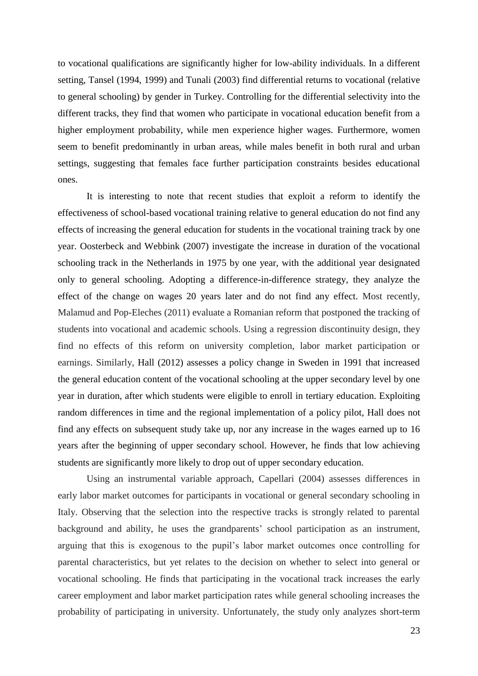to vocational qualifications are significantly higher for low-ability individuals. In a different setting, Tansel (1994, 1999) and Tunali (2003) find differential returns to vocational (relative to general schooling) by gender in Turkey. Controlling for the differential selectivity into the different tracks, they find that women who participate in vocational education benefit from a higher employment probability, while men experience higher wages. Furthermore, women seem to benefit predominantly in urban areas, while males benefit in both rural and urban settings, suggesting that females face further participation constraints besides educational ones.

It is interesting to note that recent studies that exploit a reform to identify the effectiveness of school-based vocational training relative to general education do not find any effects of increasing the general education for students in the vocational training track by one year. Oosterbeck and Webbink (2007) investigate the increase in duration of the vocational schooling track in the Netherlands in 1975 by one year, with the additional year designated only to general schooling. Adopting a difference-in-difference strategy, they analyze the effect of the change on wages 20 years later and do not find any effect. Most recently, Malamud and Pop-Eleches (2011) evaluate a Romanian reform that postponed the tracking of students into vocational and academic schools. Using a regression discontinuity design, they find no effects of this reform on university completion, labor market participation or earnings. Similarly, Hall (2012) assesses a policy change in Sweden in 1991 that increased the general education content of the vocational schooling at the upper secondary level by one year in duration, after which students were eligible to enroll in tertiary education. Exploiting random differences in time and the regional implementation of a policy pilot, Hall does not find any effects on subsequent study take up, nor any increase in the wages earned up to 16 years after the beginning of upper secondary school. However, he finds that low achieving students are significantly more likely to drop out of upper secondary education.

Using an instrumental variable approach, Capellari (2004) assesses differences in early labor market outcomes for participants in vocational or general secondary schooling in Italy. Observing that the selection into the respective tracks is strongly related to parental background and ability, he uses the grandparents' school participation as an instrument, arguing that this is exogenous to the pupil's labor market outcomes once controlling for parental characteristics, but yet relates to the decision on whether to select into general or vocational schooling. He finds that participating in the vocational track increases the early career employment and labor market participation rates while general schooling increases the probability of participating in university. Unfortunately, the study only analyzes short-term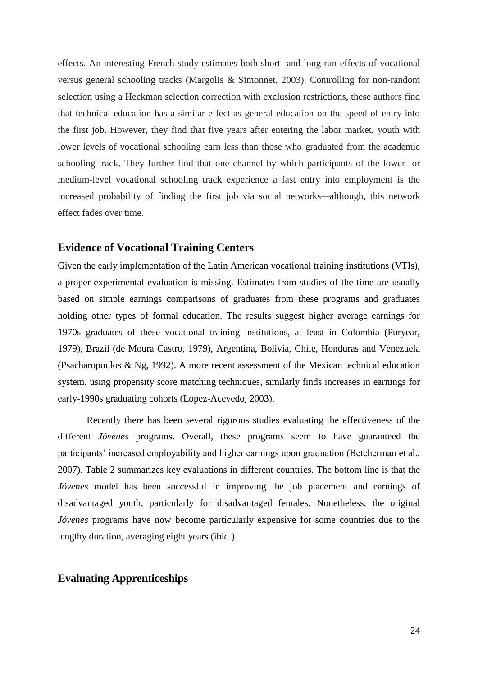effects. An interesting French study estimates both short- and long-run effects of vocational versus general schooling tracks (Margolis & Simonnet, 2003). Controlling for non-random selection using a Heckman selection correction with exclusion restrictions, these authors find that technical education has a similar effect as general education on the speed of entry into the first job. However, they find that five years after entering the labor market, youth with lower levels of vocational schooling earn less than those who graduated from the academic schooling track. They further find that one channel by which participants of the lower- or medium-level vocational schooling track experience a fast entry into employment is the increased probability of finding the first job via social networks*—*although, this network effect fades over time.

## **Evidence of Vocational Training Centers**

Given the early implementation of the Latin American vocational training institutions (VTIs), a proper experimental evaluation is missing. Estimates from studies of the time are usually based on simple earnings comparisons of graduates from these programs and graduates holding other types of formal education. The results suggest higher average earnings for 1970s graduates of these vocational training institutions, at least in Colombia (Puryear, 1979), Brazil (de Moura Castro, 1979), Argentina, Bolivia, Chile, Honduras and Venezuela (Psacharopoulos & Ng, 1992). A more recent assessment of the Mexican technical education system, using propensity score matching techniques, similarly finds increases in earnings for early-1990s graduating cohorts (Lopez-Acevedo, 2003).

Recently there has been several rigorous studies evaluating the effectiveness of the different *Jóvenes* programs. Overall, these programs seem to have guaranteed the participants' increased employability and higher earnings upon graduation (Betcherman et al., 2007). Table 2 summarizes key evaluations in different countries. The bottom line is that the *Jóvenes* model has been successful in improving the job placement and earnings of disadvantaged youth, particularly for disadvantaged females. Nonetheless, the original *Jóvenes* programs have now become particularly expensive for some countries due to the lengthy duration, averaging eight years (ibid.).

## **Evaluating Apprenticeships**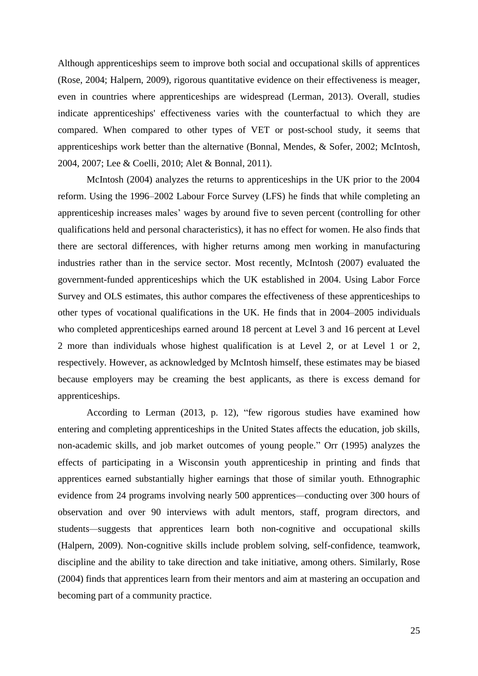Although apprenticeships seem to improve both social and occupational skills of apprentices (Rose, 2004; Halpern, [2009\)](http://www.izajolp.com/content/2/1/6#B17), rigorous quantitative evidence on their effectiveness is meager, even in countries where apprenticeships are widespread (Lerman, 2013). Overall, studies indicate apprenticeships' effectiveness varies with the counterfactual to which they are compared. When compared to other types of VET or post-school study, it seems that apprenticeships work better than the alternative (Bonnal, Mendes, & Sofer, 2002; McIntosh, 2004, 2007; Lee & Coelli, 2010; Alet & Bonnal, 2011).

McIntosh (2004) analyzes the returns to apprenticeships in the UK prior to the 2004 reform. Using the 1996–2002 Labour Force Survey (LFS) he finds that while completing an apprenticeship increases males' wages by around five to seven percent (controlling for other qualifications held and personal characteristics), it has no effect for women. He also finds that there are sectoral differences, with higher returns among men working in manufacturing industries rather than in the service sector. Most recently, McIntosh (2007) evaluated the government-funded apprenticeships which the UK established in 2004. Using Labor Force Survey and OLS estimates, this author compares the effectiveness of these apprenticeships to other types of vocational qualifications in the UK. He finds that in 2004–2005 individuals who completed apprenticeships earned around 18 percent at Level 3 and 16 percent at Level 2 more than individuals whose highest qualification is at Level 2, or at Level 1 or 2, respectively. However, as acknowledged by McIntosh himself, these estimates may be biased because employers may be creaming the best applicants, as there is excess demand for apprenticeships.

According to Lerman (2013, p. 12), "few rigorous studies have examined how entering and completing apprenticeships in the United States affects the education, job skills, non-academic skills, and job market outcomes of young people." Orr (1995) analyzes the effects of participating in a Wisconsin youth apprenticeship in printing and finds that apprentices earned substantially higher earnings that those of similar youth. Ethnographic evidence from 24 programs involving nearly 500 apprentices*—*conducting over 300 hours of observation and over 90 interviews with adult mentors, staff, program directors, and students*—*suggests that apprentices learn both non-cognitive and occupational skills (Halpern, [2009\)](http://www.izajolp.com/content/2/1/6#B17). Non-cognitive skills include problem solving, self-confidence, teamwork, discipline and the ability to take direction and take initiative, among others. Similarly, Rose (2004) finds that apprentices learn from their mentors and aim at mastering an occupation and becoming part of a community practice.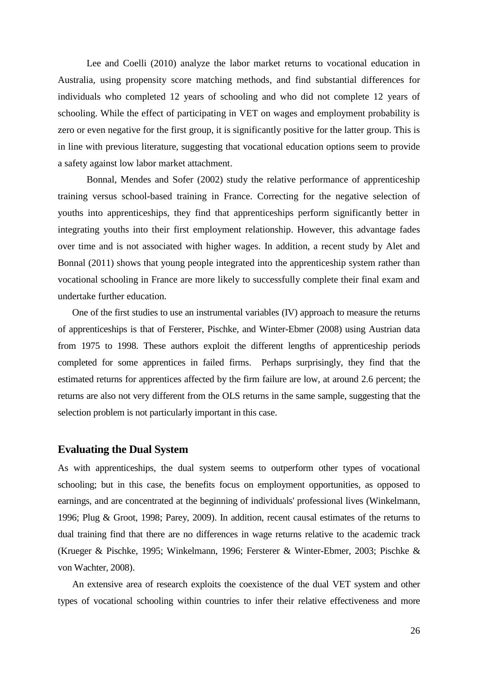Lee and Coelli (2010) analyze the labor market returns to vocational education in Australia, using propensity score matching methods, and find substantial differences for individuals who completed 12 years of schooling and who did not complete 12 years of schooling. While the effect of participating in VET on wages and employment probability is zero or even negative for the first group, it is significantly positive for the latter group. This is in line with previous literature, suggesting that vocational education options seem to provide a safety against low labor market attachment.

Bonnal, Mendes and Sofer (2002) study the relative performance of apprenticeship training versus school-based training in France. Correcting for the negative selection of youths into apprenticeships, they find that apprenticeships perform significantly better in integrating youths into their first employment relationship. However, this advantage fades over time and is not associated with higher wages. In addition, a recent study by Alet and Bonnal (2011) shows that young people integrated into the apprenticeship system rather than vocational schooling in France are more likely to successfully complete their final exam and undertake further education.

One of the first studies to use an instrumental variables (IV) approach to measure the returns of apprenticeships is that of Fersterer, Pischke, and Winter-Ebmer (2008) using Austrian data from 1975 to 1998. These authors exploit the different lengths of apprenticeship periods completed for some apprentices in failed firms. Perhaps surprisingly, they find that the estimated returns for apprentices affected by the firm failure are low, at around 2.6 percent; the returns are also not very different from the OLS returns in the same sample, suggesting that the selection problem is not particularly important in this case.

## **Evaluating the Dual System**

As with apprenticeships, the dual system seems to outperform other types of vocational schooling; but in this case, the benefits focus on employment opportunities, as opposed to earnings, and are concentrated at the beginning of individuals' professional lives (Winkelmann, 1996; Plug & Groot, 1998; Parey, 2009). In addition, recent causal estimates of the returns to dual training find that there are no differences in wage returns relative to the academic track (Krueger & Pischke, 1995; Winkelmann, 1996; Fersterer & Winter-Ebmer, 2003; Pischke & von Wachter, 2008).

An extensive area of research exploits the coexistence of the dual VET system and other types of vocational schooling within countries to infer their relative effectiveness and more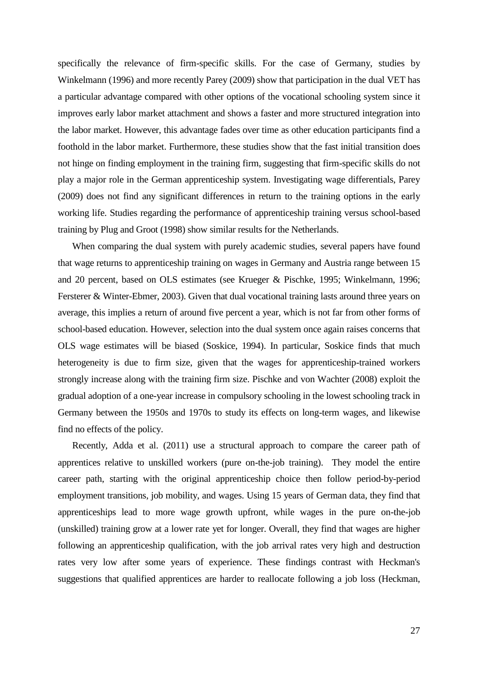specifically the relevance of firm-specific skills. For the case of Germany, studies by Winkelmann (1996) and more recently Parey (2009) show that participation in the dual VET has a particular advantage compared with other options of the vocational schooling system since it improves early labor market attachment and shows a faster and more structured integration into the labor market. However, this advantage fades over time as other education participants find a foothold in the labor market. Furthermore, these studies show that the fast initial transition does not hinge on finding employment in the training firm, suggesting that firm-specific skills do not play a major role in the German apprenticeship system. Investigating wage differentials, Parey (2009) does not find any significant differences in return to the training options in the early working life. Studies regarding the performance of apprenticeship training versus school-based training by Plug and Groot (1998) show similar results for the Netherlands.

When comparing the dual system with purely academic studies, several papers have found that wage returns to apprenticeship training on wages in Germany and Austria range between 15 and 20 percent, based on OLS estimates (see Krueger & Pischke, 1995; Winkelmann, 1996; Fersterer & Winter-Ebmer, 2003). Given that dual vocational training lasts around three years on average, this implies a return of around five percent a year, which is not far from other forms of school-based education. However, selection into the dual system once again raises concerns that OLS wage estimates will be biased (Soskice, 1994). In particular, Soskice finds that much heterogeneity is due to firm size, given that the wages for apprenticeship-trained workers strongly increase along with the training firm size. Pischke and von Wachter (2008) exploit the gradual adoption of a one-year increase in compulsory schooling in the lowest schooling track in Germany between the 1950s and 1970s to study its effects on long-term wages, and likewise find no effects of the policy.

Recently, Adda et al. (2011) use a structural approach to compare the career path of apprentices relative to unskilled workers (pure on-the-job training). They model the entire career path, starting with the original apprenticeship choice then follow period-by-period employment transitions, job mobility, and wages. Using 15 years of German data, they find that apprenticeships lead to more wage growth upfront, while wages in the pure on-the-job (unskilled) training grow at a lower rate yet for longer. Overall, they find that wages are higher following an apprenticeship qualification, with the job arrival rates very high and destruction rates very low after some years of experience. These findings contrast with Heckman's suggestions that qualified apprentices are harder to reallocate following a job loss (Heckman,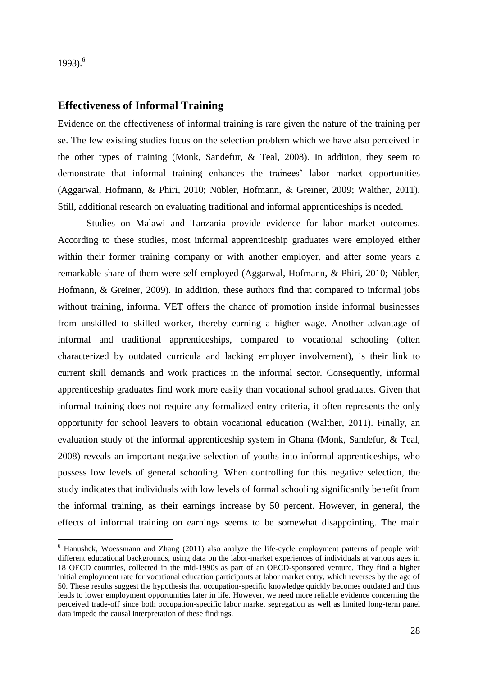$1993$ <sup>6</sup>

1

## **Effectiveness of Informal Training**

Evidence on the effectiveness of informal training is rare given the nature of the training per se. The few existing studies focus on the selection problem which we have also perceived in the other types of training (Monk, Sandefur, & Teal, 2008). In addition, they seem to demonstrate that informal training enhances the trainees' labor market opportunities (Aggarwal, Hofmann, & Phiri, 2010; Nübler, Hofmann, & Greiner, 2009; Walther, 2011). Still, additional research on evaluating traditional and informal apprenticeships is needed.

Studies on Malawi and Tanzania provide evidence for labor market outcomes. According to these studies, most informal apprenticeship graduates were employed either within their former training company or with another employer, and after some years a remarkable share of them were self-employed (Aggarwal, Hofmann, & Phiri, 2010; Nübler, Hofmann, & Greiner, 2009). In addition, these authors find that compared to informal jobs without training, informal VET offers the chance of promotion inside informal businesses from unskilled to skilled worker, thereby earning a higher wage. Another advantage of informal and traditional apprenticeships, compared to vocational schooling (often characterized by outdated curricula and lacking employer involvement), is their link to current skill demands and work practices in the informal sector. Consequently, informal apprenticeship graduates find work more easily than vocational school graduates. Given that informal training does not require any formalized entry criteria, it often represents the only opportunity for school leavers to obtain vocational education (Walther, 2011). Finally, an evaluation study of the informal apprenticeship system in Ghana (Monk, Sandefur, & Teal, 2008) reveals an important negative selection of youths into informal apprenticeships, who possess low levels of general schooling. When controlling for this negative selection, the study indicates that individuals with low levels of formal schooling significantly benefit from the informal training, as their earnings increase by 50 percent. However, in general, the effects of informal training on earnings seems to be somewhat disappointing. The main

<sup>6</sup> Hanushek, Woessmann and Zhang (2011) also analyze the life-cycle employment patterns of people with different educational backgrounds, using data on the labor-market experiences of individuals at various ages in 18 OECD countries, collected in the mid-1990s as part of an OECD-sponsored venture. They find a higher initial employment rate for vocational education participants at labor market entry, which reverses by the age of 50. These results suggest the hypothesis that occupation-specific knowledge quickly becomes outdated and thus leads to lower employment opportunities later in life. However, we need more reliable evidence concerning the perceived trade-off since both occupation-specific labor market segregation as well as limited long-term panel data impede the causal interpretation of these findings.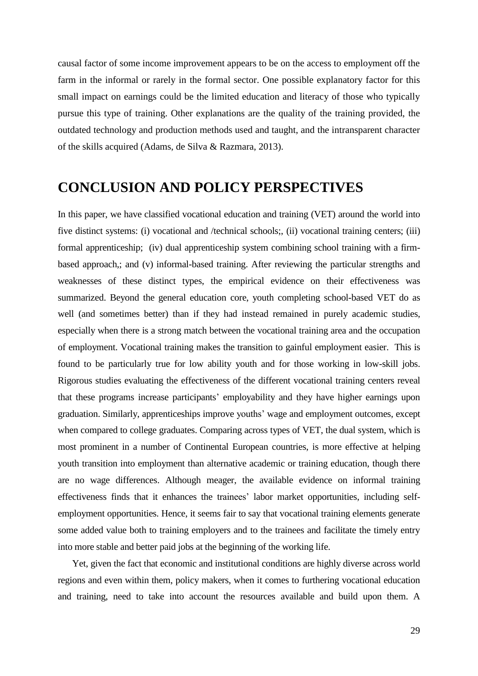causal factor of some income improvement appears to be on the access to employment off the farm in the informal or rarely in the formal sector. One possible explanatory factor for this small impact on earnings could be the limited education and literacy of those who typically pursue this type of training. Other explanations are the quality of the training provided, the outdated technology and production methods used and taught, and the intransparent character of the skills acquired (Adams, de Silva & Razmara, 2013).

# **CONCLUSION AND POLICY PERSPECTIVES**

In this paper, we have classified vocational education and training (VET) around the world into five distinct systems: (i) vocational and /technical schools;, (ii) vocational training centers; (iii) formal apprenticeship; (iv) dual apprenticeship system combining school training with a firmbased approach,; and (v) informal-based training. After reviewing the particular strengths and weaknesses of these distinct types, the empirical evidence on their effectiveness was summarized. Beyond the general education core, youth completing school-based VET do as well (and sometimes better) than if they had instead remained in purely academic studies, especially when there is a strong match between the vocational training area and the occupation of employment. Vocational training makes the transition to gainful employment easier. This is found to be particularly true for low ability youth and for those working in low-skill jobs. Rigorous studies evaluating the effectiveness of the different vocational training centers reveal that these programs increase participants' employability and they have higher earnings upon graduation. Similarly, apprenticeships improve youths' wage and employment outcomes, except when compared to college graduates. Comparing across types of VET, the dual system, which is most prominent in a number of Continental European countries, is more effective at helping youth transition into employment than alternative academic or training education, though there are no wage differences. Although meager, the available evidence on informal training effectiveness finds that it enhances the trainees' labor market opportunities, including selfemployment opportunities. Hence, it seems fair to say that vocational training elements generate some added value both to training employers and to the trainees and facilitate the timely entry into more stable and better paid jobs at the beginning of the working life.

Yet, given the fact that economic and institutional conditions are highly diverse across world regions and even within them, policy makers, when it comes to furthering vocational education and training, need to take into account the resources available and build upon them. A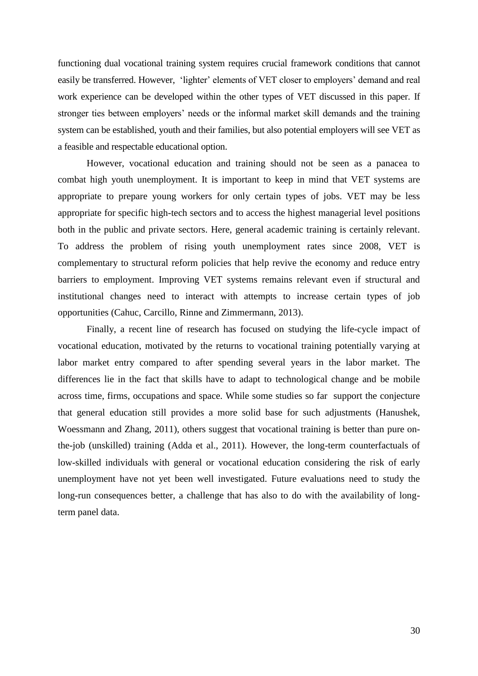functioning dual vocational training system requires crucial framework conditions that cannot easily be transferred. However, 'lighter' elements of VET closer to employers' demand and real work experience can be developed within the other types of VET discussed in this paper. If stronger ties between employers' needs or the informal market skill demands and the training system can be established, youth and their families, but also potential employers will see VET as a feasible and respectable educational option.

However, vocational education and training should not be seen as a panacea to combat high youth unemployment. It is important to keep in mind that VET systems are appropriate to prepare young workers for only certain types of jobs. VET may be less appropriate for specific high-tech sectors and to access the highest managerial level positions both in the public and private sectors. Here, general academic training is certainly relevant. To address the problem of rising youth unemployment rates since 2008, VET is complementary to structural reform policies that help revive the economy and reduce entry barriers to employment. Improving VET systems remains relevant even if structural and institutional changes need to interact with attempts to increase certain types of job opportunities (Cahuc, Carcillo, Rinne and Zimmermann, 2013).

Finally, a recent line of research has focused on studying the life-cycle impact of vocational education, motivated by the returns to vocational training potentially varying at labor market entry compared to after spending several years in the labor market. The differences lie in the fact that skills have to adapt to technological change and be mobile across time, firms, occupations and space. While some studies so far support the conjecture that general education still provides a more solid base for such adjustments (Hanushek, Woessmann and Zhang, 2011), others suggest that vocational training is better than pure onthe-job (unskilled) training (Adda et al., 2011). However, the long-term counterfactuals of low-skilled individuals with general or vocational education considering the risk of early unemployment have not yet been well investigated. Future evaluations need to study the long-run consequences better, a challenge that has also to do with the availability of longterm panel data.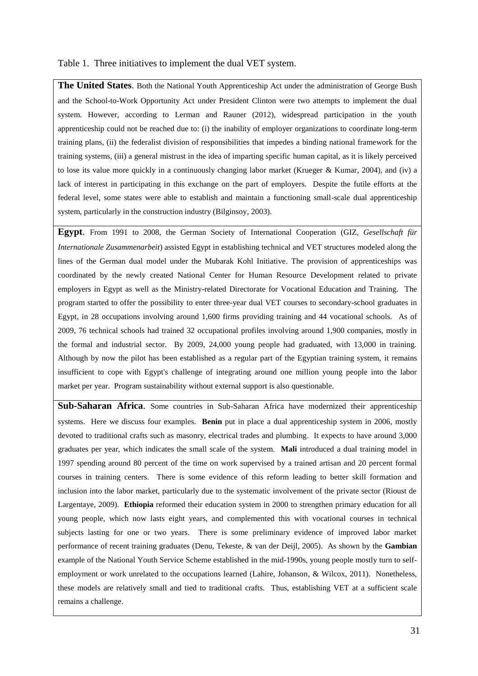#### Table 1. Three initiatives to implement the dual VET system.

**The United States**. Both the National Youth Apprenticeship Act under the administration of George Bush and the School-to-Work Opportunity Act under President Clinton were two attempts to implement the dual system. However, according to Lerman and Rauner (2012), widespread participation in the youth apprenticeship could not be reached due to: (i) the inability of employer organizations to coordinate long-term training plans, (ii) the federalist division of responsibilities that impedes a binding national framework for the training systems, (iii) a general mistrust in the idea of imparting specific human capital, as it is likely perceived to lose its value more quickly in a continuously changing labor market (Krueger & Kumar, 2004), and (iv) a lack of interest in participating in this exchange on the part of employers. Despite the futile efforts at the federal level, some states were able to establish and maintain a functioning small-scale dual apprenticeship system, particularly in the construction industry (Bilginsoy, 2003).

**Egypt**. From 1991 to 2008, the German Society of International Cooperation (GIZ, *Gesellschaft für Internationale Zusammenarbeit*) assisted Egypt in establishing technical and VET structures modeled along the lines of the German dual model under the Mubarak Kohl Initiative. The provision of apprenticeships was coordinated by the newly created National Center for Human Resource Development related to private employers in Egypt as well as the Ministry-related Directorate for Vocational Education and Training. The program started to offer the possibility to enter three-year dual VET courses to secondary-school graduates in Egypt, in 28 occupations involving around 1,600 firms providing training and 44 vocational schools. As of 2009, 76 technical schools had trained 32 occupational profiles involving around 1,900 companies, mostly in the formal and industrial sector. By 2009, 24,000 young people had graduated, with 13,000 in training. Although by now the pilot has been established as a regular part of the Egyptian training system, it remains insufficient to cope with Egypt's challenge of integrating around one million young people into the labor market per year. Program sustainability without external support is also questionable.

**Sub-Saharan Africa**. Some countries in Sub-Saharan Africa have modernized their apprenticeship systems. Here we discuss four examples. **Benin** put in place a dual apprenticeship system in 2006, mostly devoted to traditional crafts such as masonry, electrical trades and plumbing. It expects to have around 3,000 graduates per year, which indicates the small scale of the system. **Mali** introduced a dual training model in 1997 spending around 80 percent of the time on work supervised by a trained artisan and 20 percent formal courses in training centers. There is some evidence of this reform leading to better skill formation and inclusion into the labor market, particularly due to the systematic involvement of the private sector (Rioust de Largentaye, 2009). **Ethiopia** reformed their education system in 2000 to strengthen primary education for all young people, which now lasts eight years, and complemented this with vocational courses in technical subjects lasting for one or two years. There is some preliminary evidence of improved labor market performance of recent training graduates (Denu, Tekeste, & van der Deijl, 2005). As shown by the **Gambian** example of the National Youth Service Scheme established in the mid-1990s, young people mostly turn to selfemployment or work unrelated to the occupations learned (Lahire, Johanson, & Wilcox, 2011). Nonetheless, these models are relatively small and tied to traditional crafts. Thus, establishing VET at a sufficient scale remains a challenge.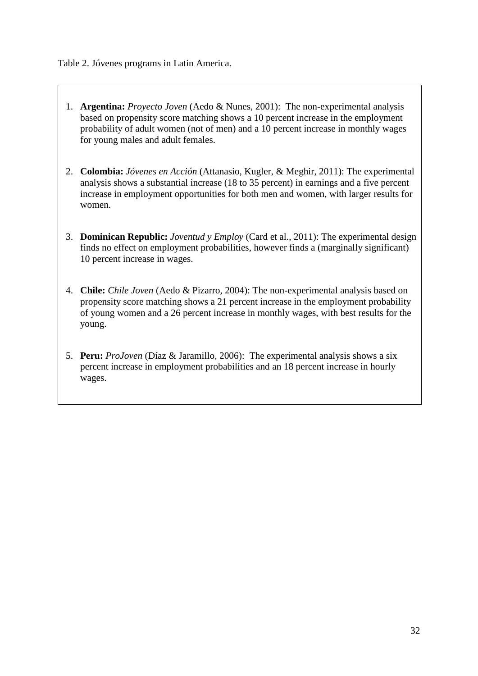Table 2. Jóvenes programs in Latin America.

- 1. **Argentina:** *Proyecto Joven* (Aedo & Nunes, 2001): The non-experimental analysis based on propensity score matching shows a 10 percent increase in the employment probability of adult women (not of men) and a 10 percent increase in monthly wages for young males and adult females.
- 2. **Colombia:** *Jóvenes en Acción* (Attanasio, Kugler, & Meghir, 2011): The experimental analysis shows a substantial increase (18 to 35 percent) in earnings and a five percent increase in employment opportunities for both men and women, with larger results for women.
- 3. **Dominican Republic:** *Joventud y Employ* (Card et al., 2011): The experimental design finds no effect on employment probabilities, however finds a (marginally significant) 10 percent increase in wages.
- 4. **Chile:** *Chile Joven* (Aedo & Pizarro, 2004): The non-experimental analysis based on propensity score matching shows a 21 percent increase in the employment probability of young women and a 26 percent increase in monthly wages, with best results for the young.
- 5. **Peru:** *ProJoven* (Díaz & Jaramillo, 2006):The experimental analysis shows a six percent increase in employment probabilities and an 18 percent increase in hourly wages.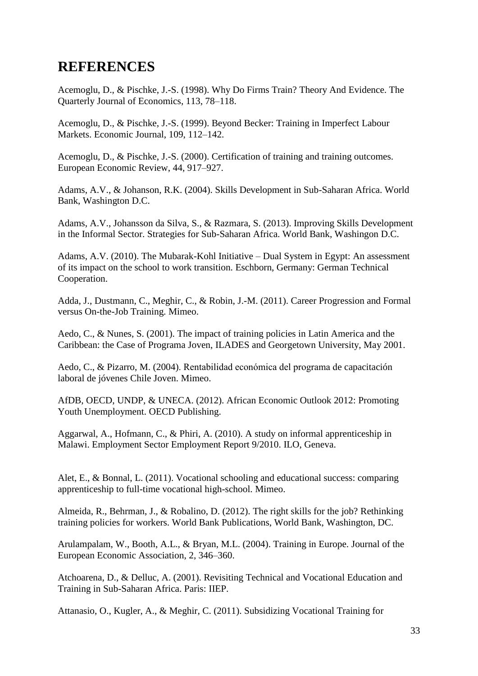# **REFERENCES**

Acemoglu, D., & Pischke, J.-S. (1998). Why Do Firms Train? Theory And Evidence. The Quarterly Journal of Economics, 113, 78–118.

Acemoglu, D., & Pischke, J.-S. (1999). Beyond Becker: Training in Imperfect Labour Markets. Economic Journal, 109, 112–142.

Acemoglu, D., & Pischke, J.-S. (2000). Certification of training and training outcomes. European Economic Review, 44, 917–927.

Adams, A.V., & Johanson, R.K. (2004). Skills Development in Sub-Saharan Africa. World Bank, Washington D.C.

Adams, A.V., Johansson da Silva, S., & Razmara, S. (2013). Improving Skills Development in the Informal Sector. Strategies for Sub-Saharan Africa. World Bank, Washingon D.C.

Adams, A.V. (2010). The Mubarak-Kohl Initiative – Dual System in Egypt: An assessment of its impact on the school to work transition. Eschborn, Germany: German Technical Cooperation.

Adda, J., Dustmann, C., Meghir, C., & Robin, J.-M. (2011). Career Progression and Formal versus On-the-Job Training. Mimeo.

Aedo, C., & Nunes, S. (2001). The impact of training policies in Latin America and the Caribbean: the Case of Programa Joven, ILADES and Georgetown University, May 2001.

Aedo, C., & Pizarro, M. (2004). Rentabilidad económica del programa de capacitación laboral de jóvenes Chile Joven. Mimeo.

AfDB, OECD, UNDP, & UNECA. (2012). African Economic Outlook 2012: Promoting Youth Unemployment. OECD Publishing.

Aggarwal, A., Hofmann, C., & Phiri, A. (2010). A study on informal apprenticeship in Malawi. Employment Sector Employment Report 9/2010. ILO, Geneva.

Alet, E., & Bonnal, L. (2011). Vocational schooling and educational success: comparing apprenticeship to full-time vocational high-school. Mimeo.

Almeida, R., Behrman, J., & Robalino, D. (2012). The right skills for the job? Rethinking training policies for workers. World Bank Publications, World Bank, Washington, DC.

Arulampalam, W., Booth, A.L., & Bryan, M.L. (2004). Training in Europe. Journal of the European Economic Association, 2, 346–360.

Atchoarena, D., & Delluc, A. (2001). Revisiting Technical and Vocational Education and Training in Sub-Saharan Africa. Paris: IIEP.

Attanasio, O., Kugler, A., & Meghir, C. (2011). Subsidizing Vocational Training for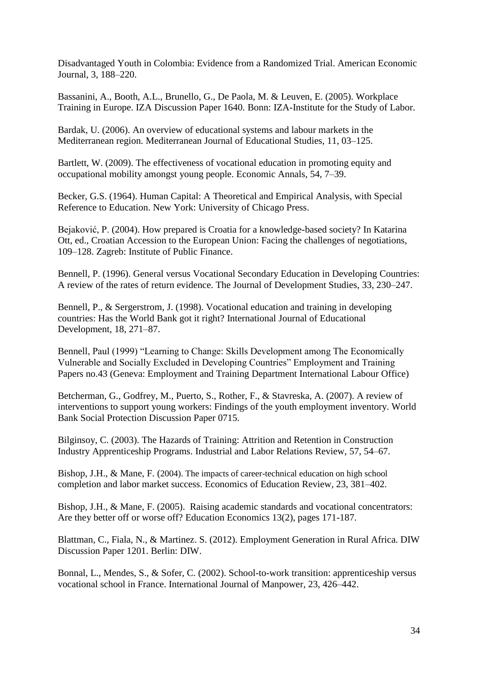Disadvantaged Youth in Colombia: Evidence from a Randomized Trial. American Economic Journal, 3, 188–220.

Bassanini, A., Booth, A.L., Brunello, G., De Paola, M. & Leuven, E. (2005). Workplace Training in Europe. IZA Discussion Paper 1640. Bonn: IZA-Institute for the Study of Labor.

Bardak, U. (2006). An overview of educational systems and labour markets in the Mediterranean region. Mediterranean Journal of Educational Studies, 11, 03–125.

Bartlett, W. (2009). The effectiveness of vocational education in promoting equity and occupational mobility amongst young people. Economic Annals, 54, 7–39.

Becker, G.S. (1964). Human Capital: A Theoretical and Empirical Analysis, with Special Reference to Education. New York: University of Chicago Press.

Bejaković, P. (2004). How prepared is Croatia for a knowledge-based society? In Katarina Ott, ed., Croatian Accession to the European Union: Facing the challenges of negotiations, 109–128. Zagreb: Institute of Public Finance.

Bennell, P. (1996). General versus Vocational Secondary Education in Developing Countries: A review of the rates of return evidence. The Journal of Development Studies, 33, 230–247.

Bennell, P., & Sergerstrom, J. (1998). Vocational education and training in developing countries: Has the World Bank got it right? International Journal of Educational Development, 18, 271–87.

Bennell, Paul (1999) "Learning to Change: Skills Development among The Economically Vulnerable and Socially Excluded in Developing Countries" Employment and Training Papers no.43 (Geneva: Employment and Training Department International Labour Office)

Betcherman, G., Godfrey, M., Puerto, S., Rother, F., & Stavreska, A. (2007). A review of interventions to support young workers: Findings of the youth employment inventory. World Bank Social Protection Discussion Paper 0715.

Bilginsoy, C. (2003). The Hazards of Training: Attrition and Retention in Construction Industry Apprenticeship Programs. Industrial and Labor Relations Review, 57, 54–67.

Bishop, J.H., & Mane, F. (2004). The impacts of career-technical education on high school completion and labor market success. Economics of Education Review, 23, 381–402.

Bishop, J.H., & Mane, F. (2005). [Raising academic standards and vocational concentrators:](http://ideas.repec.org/a/taf/edecon/v13y2005i2p171-187.html)  [Are they better off or worse off?](http://ideas.repec.org/a/taf/edecon/v13y2005i2p171-187.html) [Education Economics](http://ideas.repec.org/s/taf/edecon.html) 13(2), pages 171-187.

Blattman, C., Fiala, N., & Martinez. S. (2012). Employment Generation in Rural Africa. DIW Discussion Paper 1201. Berlin: DIW.

Bonnal, L., Mendes, S., & Sofer, C. (2002). School-to-work transition: apprenticeship versus vocational school in France. International Journal of Manpower, 23, 426–442.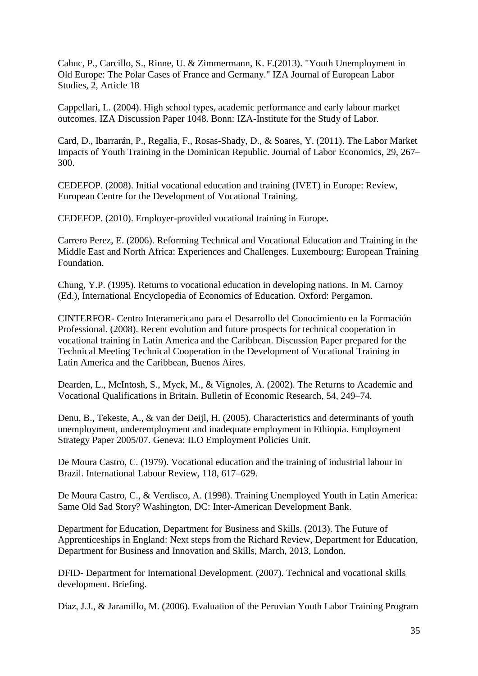Cahuc, P., Carcillo, S., Rinne, U. & Zimmermann, K. F.(2013). "Youth Unemployment in Old Europe: The Polar Cases of France and Germany." IZA Journal of European Labor Studies, 2, Article 18

Cappellari, L. (2004). High school types, academic performance and early labour market outcomes. IZA Discussion Paper 1048. Bonn: IZA-Institute for the Study of Labor.

Card, D., Ibarrarán, P., Regalia, F., Rosas-Shady, D., & Soares, Y. (2011). The Labor Market Impacts of Youth Training in the Dominican Republic. Journal of Labor Economics, 29, 267– 300.

CEDEFOP. (2008). Initial vocational education and training (IVET) in Europe: Review, European Centre for the Development of Vocational Training.

CEDEFOP. (2010). Employer-provided vocational training in Europe.

Carrero Perez, E. (2006). Reforming Technical and Vocational Education and Training in the Middle East and North Africa: Experiences and Challenges. Luxembourg: European Training Foundation.

Chung, Y.P. (1995). Returns to vocational education in developing nations. In M. Carnoy (Ed.), International Encyclopedia of Economics of Education. Oxford: Pergamon.

CINTERFOR- Centro Interamericano para el Desarrollo del Conocimiento en la Formación Professional. (2008). Recent evolution and future prospects for technical cooperation in vocational training in Latin America and the Caribbean. Discussion Paper prepared for the Technical Meeting Technical Cooperation in the Development of Vocational Training in Latin America and the Caribbean, Buenos Aires.

Dearden, L., McIntosh, S., Myck, M., & Vignoles, A. (2002). The Returns to Academic and Vocational Qualifications in Britain. Bulletin of Economic Research, 54, 249–74.

Denu, B., Tekeste, A., & van der Deijl, H. (2005). Characteristics and determinants of youth unemployment, underemployment and inadequate employment in Ethiopia. Employment Strategy Paper 2005/07. Geneva: ILO Employment Policies Unit.

De Moura Castro, C. (1979). Vocational education and the training of industrial labour in Brazil. International Labour Review, 118, 617–629.

De Moura Castro, C., & Verdisco, A. (1998). Training Unemployed Youth in Latin America: Same Old Sad Story? Washington, DC: Inter-American Development Bank.

Department for Education, Department for Business and Skills. (2013). The Future of Apprenticeships in England: Next steps from the Richard Review, Department for Education, Department for Business and Innovation and Skills, March, 2013, London.

DFID- Department for International Development. (2007). Technical and vocational skills development. Briefing.

Díaz, J.J., & Jaramillo, M. (2006). Evaluation of the Peruvian Youth Labor Training Program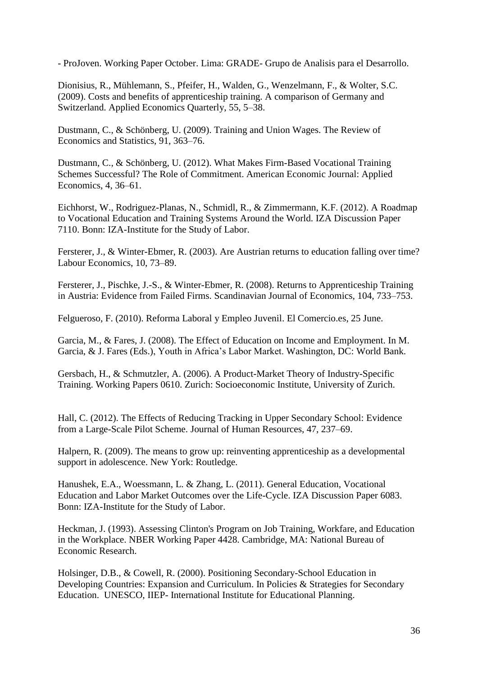- ProJoven. Working Paper October. Lima: GRADE- Grupo de Analisis para el Desarrollo.

Dionisius, R., Mühlemann, S., Pfeifer, H., Walden, G., Wenzelmann, F., & Wolter, S.C. (2009). Costs and benefits of apprenticeship training. A comparison of Germany and Switzerland. Applied Economics Quarterly, 55, 5–38.

Dustmann, C., & Schönberg, U. (2009). Training and Union Wages. The Review of Economics and Statistics, 91, 363–76.

Dustmann, C., & Schönberg, U. (2012). What Makes Firm-Based Vocational Training Schemes Successful? The Role of Commitment. American Economic Journal: Applied Economics, 4, 36–61.

Eichhorst, W., Rodriguez-Planas, N., Schmidl, R., & Zimmermann, K.F. (2012). A Roadmap to Vocational Education and Training Systems Around the World. IZA Discussion Paper 7110. Bonn: IZA-Institute for the Study of Labor.

Fersterer, J., & Winter-Ebmer, R. (2003). [Are Austrian returns to education falling over time?](http://ideas.repec.org/a/eee/labeco/v10y2003i1p73-89.html) [Labour Economics,](http://ideas.repec.org/s/eee/labeco.html) 10, 73–89.

Fersterer, J., Pischke, J.-S., & Winter-Ebmer, R. (2008). Returns to Apprenticeship Training in Austria: Evidence from Failed Firms. Scandinavian Journal of Economics, 104, 733–753.

Felgueroso, F. (2010). Reforma Laboral y Empleo Juvenil. El Comercio.es, 25 June.

Garcia, M., & Fares, J. (2008). The Effect of Education on Income and Employment. In M. Garcia, & J. Fares (Eds.), Youth in Africa's Labor Market. Washington, DC: World Bank.

Gersbach, H., & Schmutzler, A. (2006). [A Product-Market Theory of Industry-Specific](http://ideas.repec.org/p/soz/wpaper/0610.html)  [Training.](http://ideas.repec.org/p/soz/wpaper/0610.html) [Working Papers](http://ideas.repec.org/s/soz/wpaper.html) 0610. Zurich: Socioeconomic Institute, University of Zurich.

Hall, C. (2012). The Effects of Reducing Tracking in Upper Secondary School: Evidence from a Large-Scale Pilot Scheme. Journal of Human Resources, 47, 237–69.

Halpern, R. (2009). The means to grow up: reinventing apprenticeship as a developmental support in adolescence. New York: Routledge.

Hanushek, E.A., Woessmann, L. & Zhang, L. (2011). General Education, Vocational Education and Labor Market Outcomes over the Life-Cycle. IZA Discussion Paper 6083. Bonn: IZA-Institute for the Study of Labor.

Heckman, J. (1993). Assessing Clinton's Program on Job Training, Workfare, and Education in the Workplace. NBER Working Paper 4428. Cambridge, MA: National Bureau of Economic Research.

Holsinger, D.B., & Cowell, R. (2000). Positioning Secondary-School Education in Developing Countries: Expansion and Curriculum. In Policies & Strategies for Secondary Education. UNESCO, IIEP- International Institute for Educational Planning.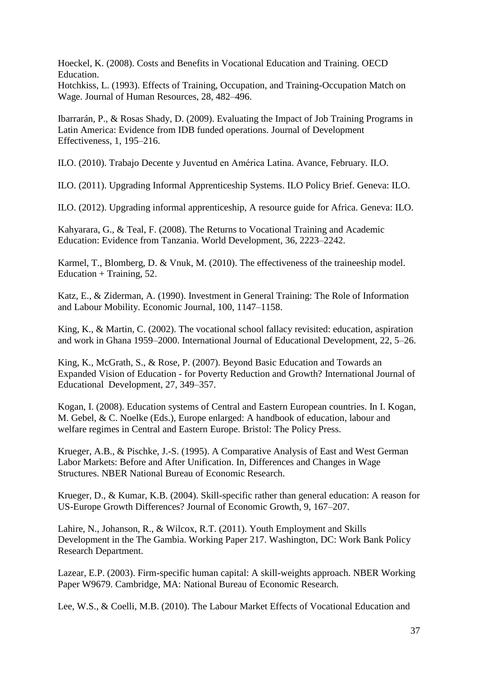Hoeckel, K. (2008). Costs and Benefits in Vocational Education and Training. OECD Education.

Hotchkiss, L. (1993). Effects of Training, Occupation, and Training-Occupation Match on Wage. Journal of Human Resources, 28, 482–496.

Ibarrarán, P., & Rosas Shady, D. (2009). Evaluating the Impact of Job Training Programs in Latin America: Evidence from IDB funded operations. Journal of Development Effectiveness, 1, 195–216.

ILO. (2010). Trabajo Decente y Juventud en América Latina. Avance, February. ILO.

ILO. (2011). Upgrading Informal Apprenticeship Systems. ILO Policy Brief. Geneva: ILO.

ILO. (2012). Upgrading informal apprenticeship, A resource guide for Africa. Geneva: ILO.

Kahyarara, G., & Teal, F. (2008). The Returns to Vocational Training and Academic Education: Evidence from Tanzania. World Development, 36, 2223–2242.

Karmel, T., Blomberg, D. & Vnuk, M. (2010). The effectiveness of the traineeship model. Education + Training,  $52$ .

Katz, E., & Ziderman, A. (1990). Investment in General Training: The Role of Information and Labour Mobility. Economic Journal, 100, 1147–1158.

King, K., & Martin, C. (2002). The vocational school fallacy revisited: education, aspiration and work in Ghana 1959–2000. International Journal of Educational Development, 22, 5–26.

King, K., McGrath, S., & Rose, P. (2007). Beyond Basic Education and Towards an Expanded Vision of Education - for Poverty Reduction and Growth? [International Journal of](http://www.sciencedirect.com/science/journal/07380593)  [Educational Development,](http://www.sciencedirect.com/science/journal/07380593) [27,](http://www.sciencedirect.com/science/journal/07380593/27/4) 349–357.

Kogan, I. (2008). Education systems of Central and Eastern European countries. In I. Kogan, M. Gebel, & C. Noelke (Eds.), Europe enlarged: A handbook of education, labour and welfare regimes in Central and Eastern Europe. Bristol: The Policy Press.

Krueger, A.B., & Pischke, J.-S. (1995). [A Comparative Analysis of East and West German](http://ideas.repec.org/h/nbr/nberch/7864.html)  [Labor Markets: Before and After Unification.](http://ideas.repec.org/h/nbr/nberch/7864.html) In, Differences and Changes in Wage Structures. NBER National Bureau of Economic Research.

Krueger, D., & Kumar, K.B. (2004). Skill-specific rather than general education: A reason for US-Europe Growth Differences? Journal of Economic Growth, 9, 167–207.

Lahire, N., Johanson, R., & Wilcox, R.T. (2011). Youth Employment and Skills Development in the The Gambia. Working Paper 217. Washington, DC: Work Bank Policy Research Department.

Lazear, E.P. (2003). Firm-specific human capital: A skill-weights approach. NBER Working Paper W9679. Cambridge, MA: National Bureau of Economic Research.

Lee, W.S., & Coelli, M.B. (2010). The Labour Market Effects of Vocational Education and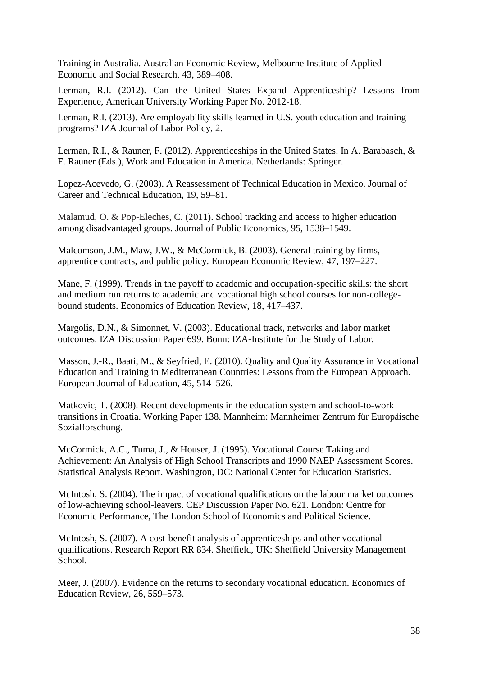Training in Australia. [Australian Economic Review,](http://ideas.repec.org/s/bla/ausecr.html) Melbourne Institute of Applied Economic and Social Research, 43, 389–408.

Lerman, R.I. (2012). Can the United States Expand Apprenticeship? Lessons from Experience, American University Working Paper No. 2012-18.

Lerman, R.I. (2013). Are employability skills learned in U.S. youth education and training programs? IZA Journal of Labor Policy, 2.

Lerman, R.I., & Rauner, F. (2012). Apprenticeships in the United States. In A. Barabasch, & F. Rauner (Eds.), Work and Education in America. Netherlands: Springer.

Lopez-Acevedo, G. (2003). A Reassessment of Technical Education in Mexico. Journal of Career and Technical Education, 19, 59–81.

Malamud, O. & Pop-Eleches, C. (2011). [School tracking and access to higher education](http://ideas.repec.org/a/eee/pubeco/v95y2011i11p1538-1549.html)  [among disadvantaged groups.](http://ideas.repec.org/a/eee/pubeco/v95y2011i11p1538-1549.html) [Journal of Public Economics,](http://ideas.repec.org/s/eee/pubeco.html) 95, 1538–1549.

Malcomson, J.M., Maw, J.W., & McCormick, B. (2003). General training by firms, apprentice contracts, and public policy. European Economic Review, 47, 197–227.

Mane, F. (1999). Trends in the payoff to academic and occupation-specific skills: the short and medium run returns to academic and vocational high school courses for non-collegebound students. Economics of Education Review, 18, 417–437.

Margolis, D.N., & Simonnet, V. (2003). Educational track, networks and labor market outcomes. IZA Discussion Paper 699. Bonn: IZA-Institute for the Study of Labor.

Masson, J.-R., Baati, M., & Seyfried, E. (2010). Quality and Quality Assurance in Vocational Education and Training in Mediterranean Countries: Lessons from the European Approach. European Journal of Education, 45, 514–526.

Matkovic, T. (2008). Recent developments in the education system and school-to-work transitions in Croatia. Working Paper 138. Mannheim: Mannheimer Zentrum für Europäische Sozialforschung.

McCormick, A.C., Tuma, J., & Houser, J. (1995). Vocational Course Taking and Achievement: An Analysis of High School Transcripts and 1990 NAEP Assessment Scores. Statistical Analysis Report. Washington, DC: National Center for Education Statistics.

McIntosh, S. (2004). The impact of vocational qualifications on the labour market outcomes of low-achieving school-leavers. CEP Discussion Paper No. 621. London: Centre for Economic Performance, The London School of Economics and Political Science.

McIntosh, S. (2007). A cost-benefit analysis of apprenticeships and other vocational qualifications. Research Report RR 834. Sheffield, UK: Sheffield University Management School.

Meer, J. (2007). Evidence on the returns to secondary vocational education. Economics of Education Review, 26, 559–573.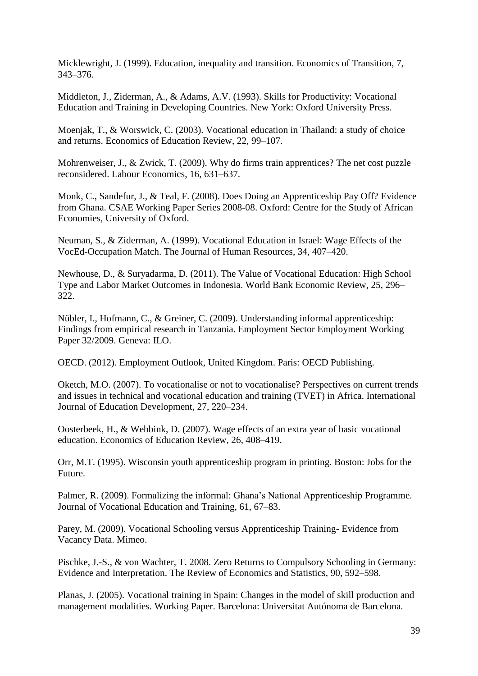Micklewright, J. (1999). Education, inequality and transition. Economics of Transition, 7, 343–376.

Middleton, J., Ziderman, A., & Adams, A.V. (1993). Skills for Productivity: Vocational Education and Training in Developing Countries. New York: Oxford University Press.

Moenjak, T., & Worswick, C. (2003). Vocational education in Thailand: a study of choice and returns. Economics of Education Review, 22, 99–107.

Mohrenweiser, J., & Zwick, T. (2009). Why do firms train apprentices? The net cost puzzle reconsidered. Labour Economics, 16, 631–637.

Monk, C., Sandefur, J., & Teal, F. (2008). Does Doing an Apprenticeship Pay Off? Evidence from Ghana. CSAE Working Paper Series 2008-08. Oxford: Centre for the Study of African Economies, University of Oxford.

Neuman, S., & Ziderman, A. (1999). Vocational Education in Israel: Wage Effects of the VocEd-Occupation Match. The Journal of Human Resources, 34, 407–420.

Newhouse, D., & Suryadarma, D. (2011). The Value of Vocational Education: High School Type and Labor Market Outcomes in Indonesia. World Bank Economic Review, 25, 296– 322.

Nübler, I., Hofmann, C., & Greiner, C. (2009). Understanding informal apprenticeship: Findings from empirical research in Tanzania. Employment Sector Employment Working Paper 32/2009. Geneva: ILO.

OECD. (2012). Employment Outlook, United Kingdom. Paris: OECD Publishing.

Oketch, M.O. (2007). To vocationalise or not to vocationalise? Perspectives on current trends and issues in technical and vocational education and training (TVET) in Africa. International Journal of Education Development, 27, 220–234.

Oosterbeek, H., & Webbink, D. (2007). Wage effects of an extra year of basic vocational education. Economics of Education Review, 26, 408–419.

Orr, M.T. (1995). Wisconsin youth apprenticeship program in printing. Boston: Jobs for the Future.

Palmer, R. (2009). Formalizing the informal: Ghana's National Apprenticeship Programme. Journal of Vocational Education and Training, 61, 67–83.

Parey, M. (2009). Vocational Schooling versus Apprenticeship Training- Evidence from Vacancy Data. Mimeo.

Pischke, J.-S., & von Wachter, T. 2008. Zero Returns to Compulsory Schooling in Germany: Evidence and Interpretation. The Review of Economics and Statistics, 90, 592–598.

Planas, J. (2005). Vocational training in Spain: Changes in the model of skill production and management modalities. Working Paper. Barcelona: Universitat Autónoma de Barcelona.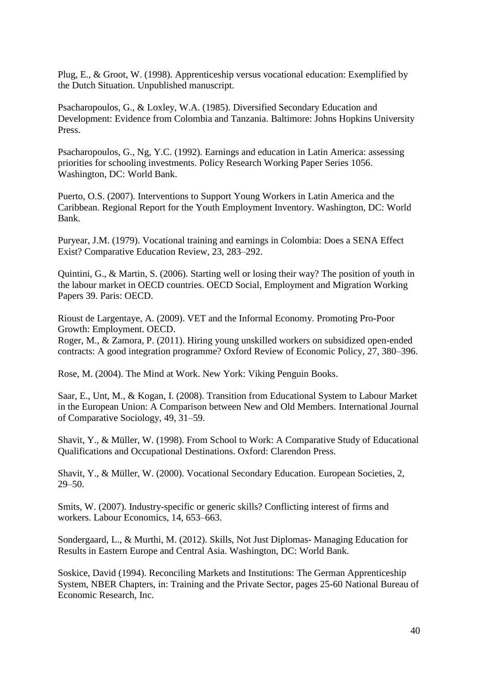Plug, E., & Groot, W. (1998). Apprenticeship versus vocational education: Exemplified by the Dutch Situation. Unpublished manuscript.

[Psacharopoulos,](http://www.sciencedirect.com/science/article/pii/0738059387900071) G., & Loxley, W.A. (1985). Diversified Secondary Education and Development: Evidence from Colombia and Tanzania. Baltimore: Johns Hopkins University Press.

Psacharopoulos, G., Ng, Y.C. (1992). Earnings and education in Latin America: assessing priorities for schooling investments. Policy Research Working Paper Series 1056. Washington, DC: World Bank.

Puerto, O.S. (2007). Interventions to Support Young Workers in Latin America and the Caribbean. Regional Report for the Youth Employment Inventory. Washington, DC: World Bank.

Puryear, J.M. (1979). Vocational training and earnings in Colombia: Does a SENA Effect Exist? Comparative Education Review, 23, 283–292.

Quintini, G., & Martin, S. (2006). Starting well or losing their way? The position of youth in the labour market in OECD countries. OECD Social, Employment and Migration Working Papers 39. Paris: OECD.

Rioust de Largentaye, A. (2009). VET and the Informal Economy. Promoting Pro-Poor Growth: Employment. OECD.

Roger, M., & Zamora, P. (2011). Hiring young unskilled workers on subsidized open-ended contracts: A good integration programme? Oxford Review of Economic Policy, 27, 380–396.

Rose, M. (2004). The Mind at Work. New York: Viking Penguin Books.

Saar, E., Unt, M., & Kogan, I. (2008). Transition from Educational System to Labour Market in the European Union: A Comparison between New and Old Members. International Journal of Comparative Sociology, 49, 31–59.

Shavit, Y., & Müller, W. (1998). From School to Work: A Comparative Study of Educational Qualifications and Occupational Destinations. Oxford: Clarendon Press.

Shavit, Y., & Müller, W. (2000). Vocational Secondary Education. European Societies, 2, 29–50.

Smits, W. (2007). Industry-specific or generic skills? Conflicting interest of firms and workers. Labour Economics, 14, 653–663.

Sondergaard, L., & Murthi, M. (2012). Skills, Not Just Diplomas- Managing Education for Results in Eastern Europe and Central Asia. Washington, DC: World Bank.

Soskice, David (1994). Reconciling Markets and Institutions: The German Apprenticeship System, NBER Chapters, in: Training and the Private Sector, pages 25-60 National Bureau of Economic Research, Inc.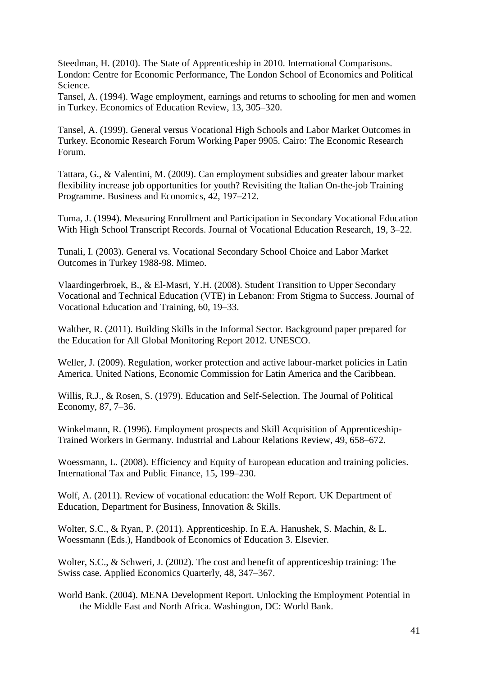Steedman, H. (2010). The State of Apprenticeship in 2010. International Comparisons. London: Centre for Economic Performance, The London School of Economics and Political Science.

Tansel, A. (1994). Wage employment, earnings and returns to schooling for men and women in Turkey. Economics of Education Review, 13, 305–320.

Tansel, A. (1999). General versus Vocational High Schools and Labor Market Outcomes in Turkey. Economic Research Forum Working Paper 9905. Cairo: The Economic Research Forum.

Tattara, G., & Valentini, M. (2009). Can employment subsidies and greater labour market flexibility increase job opportunities for youth? Revisiting the Italian On-the-job Training Programme. Business and Economics, 42, 197–212.

Tuma, J. (1994). Measuring Enrollment and Participation in Secondary Vocational Education With High School Transcript Records. Journal of Vocational Education Research, 19, 3–22.

Tunali, I. (2003). General vs. Vocational Secondary School Choice and Labor Market Outcomes in Turkey 1988-98. Mimeo.

Vlaardingerbroek, B., & El-Masri, Y.H. (2008). Student Transition to Upper Secondary Vocational and Technical Education (VTE) in Lebanon: From Stigma to Success. Journal of Vocational Education and Training, 60, 19–33.

Walther, R. (2011). Building Skills in the Informal Sector. Background paper prepared for the Education for All Global Monitoring Report 2012. UNESCO.

Weller, J. (2009). Regulation, worker protection and active labour-market policies in Latin America. United Nations, Economic Commission for Latin America and the Caribbean.

Willis, R.J., & Rosen, S. (1979). Education and Self-Selection. The Journal of Political Economy, 87, 7–36.

Winkelmann, R. (1996). Employment prospects and Skill Acquisition of Apprenticeship-Trained Workers in Germany. Industrial and Labour Relations Review, 49, 658–672.

Woessmann, L. (2008). Efficiency and Equity of European education and training policies. International Tax and Public Finance, 15, 199–230.

Wolf, A. (2011). Review of vocational education: the Wolf Report. UK Department of Education, Department for Business, Innovation & Skills.

Wolter, S.C., & Ryan, P. (2011). Apprenticeship. In E.A. Hanushek, S. Machin, & L. Woessmann (Eds.), Handbook of Economics of Education 3. Elsevier.

Wolter, S.C., & Schweri, J. (2002). The cost and benefit of apprenticeship training: The Swiss case. Applied Economics Quarterly, 48, 347–367.

World Bank. (2004). MENA Development Report. Unlocking the Employment Potential in the Middle East and North Africa. Washington, DC: World Bank.